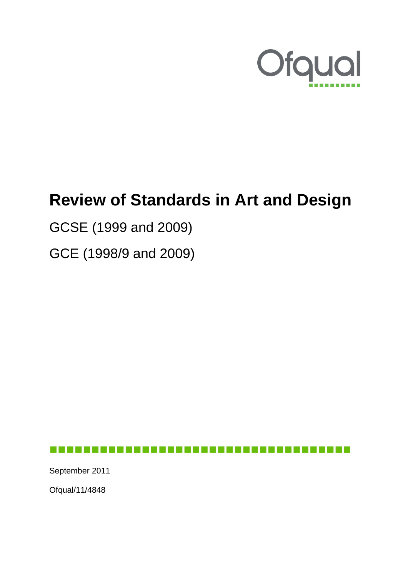

# **Review of Standards in Art and Design**

GCSE (1999 and 2009)

GCE (1998/9 and 2009)

------------------------------------September 2011 Ofqual/11/4848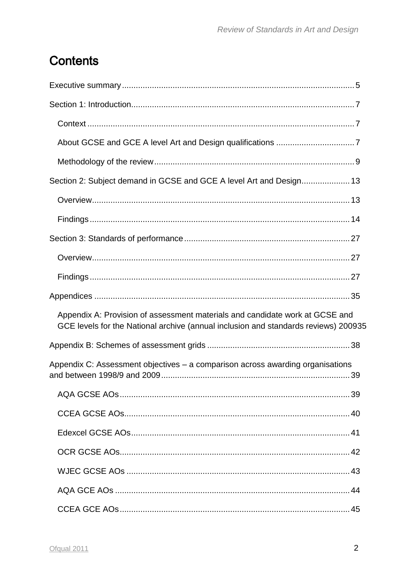## **Contents**

| Section 2: Subject demand in GCSE and GCE A level Art and Design 13                                                                                                 |  |
|---------------------------------------------------------------------------------------------------------------------------------------------------------------------|--|
|                                                                                                                                                                     |  |
|                                                                                                                                                                     |  |
|                                                                                                                                                                     |  |
|                                                                                                                                                                     |  |
|                                                                                                                                                                     |  |
|                                                                                                                                                                     |  |
| Appendix A: Provision of assessment materials and candidate work at GCSE and<br>GCE levels for the National archive (annual inclusion and standards reviews) 200935 |  |
|                                                                                                                                                                     |  |
| Appendix C: Assessment objectives – a comparison across awarding organisations                                                                                      |  |
|                                                                                                                                                                     |  |
|                                                                                                                                                                     |  |
|                                                                                                                                                                     |  |
|                                                                                                                                                                     |  |
|                                                                                                                                                                     |  |
|                                                                                                                                                                     |  |
|                                                                                                                                                                     |  |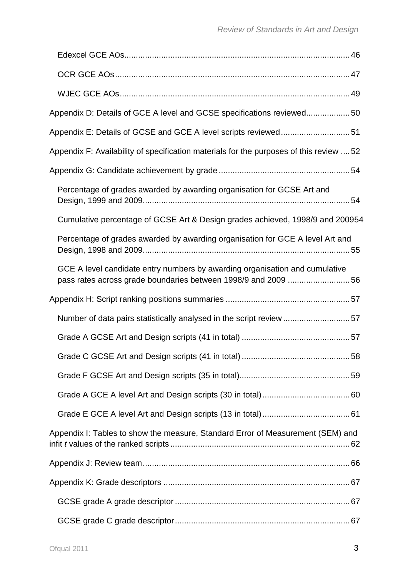| Appendix D: Details of GCE A level and GCSE specifications reviewed50                                                                        |  |
|----------------------------------------------------------------------------------------------------------------------------------------------|--|
| Appendix E: Details of GCSE and GCE A level scripts reviewed51                                                                               |  |
| Appendix F: Availability of specification materials for the purposes of this review  52                                                      |  |
|                                                                                                                                              |  |
| Percentage of grades awarded by awarding organisation for GCSE Art and                                                                       |  |
| Cumulative percentage of GCSE Art & Design grades achieved, 1998/9 and 200954                                                                |  |
| Percentage of grades awarded by awarding organisation for GCE A level Art and                                                                |  |
| GCE A level candidate entry numbers by awarding organisation and cumulative<br>pass rates across grade boundaries between 1998/9 and 2009 56 |  |
|                                                                                                                                              |  |
| Number of data pairs statistically analysed in the script review 57                                                                          |  |
|                                                                                                                                              |  |
|                                                                                                                                              |  |
|                                                                                                                                              |  |
|                                                                                                                                              |  |
|                                                                                                                                              |  |
| Appendix I: Tables to show the measure, Standard Error of Measurement (SEM) and                                                              |  |
|                                                                                                                                              |  |
|                                                                                                                                              |  |
|                                                                                                                                              |  |
|                                                                                                                                              |  |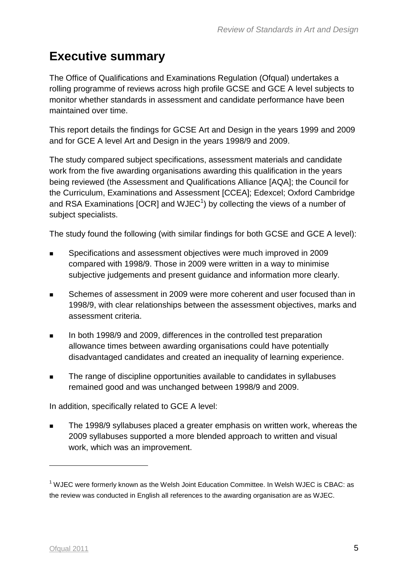## <span id="page-4-0"></span>**Executive summary**

The Office of Qualifications and Examinations Regulation (Ofqual) undertakes a rolling programme of reviews across high profile GCSE and GCE A level subjects to monitor whether standards in assessment and candidate performance have been maintained over time.

This report details the findings for GCSE Art and Design in the years 1999 and 2009 and for GCE A level Art and Design in the years 1998/9 and 2009.

The study compared subject specifications, assessment materials and candidate work from the five awarding organisations awarding this qualification in the years being reviewed (the Assessment and Qualifications Alliance [AQA]; the Council for the Curriculum, Examinations and Assessment [CCEA]; Edexcel; Oxford Cambridge and RSA Examinations [OCR] and WJEC<sup>1</sup>) by collecting the views of a number of subject specialists.

The study found the following (with similar findings for both GCSE and GCE A level):

- Specifications and assessment objectives were much improved in 2009 compared with 1998/9. Those in 2009 were written in a way to minimise subjective judgements and present guidance and information more clearly.
- Schemes of assessment in 2009 were more coherent and user focused than in 1998/9, with clear relationships between the assessment objectives, marks and assessment criteria.
- In both 1998/9 and 2009, differences in the controlled test preparation allowance times between awarding organisations could have potentially disadvantaged candidates and created an inequality of learning experience.
- **The range of discipline opportunities available to candidates in syllabuses** remained good and was unchanged between 1998/9 and 2009.

In addition, specifically related to GCE A level:

 The 1998/9 syllabuses placed a greater emphasis on written work, whereas the 2009 syllabuses supported a more blended approach to written and visual work, which was an improvement.

<u>.</u>

 $<sup>1</sup>$  WJEC were formerly known as the Welsh Joint Education Committee. In Welsh WJEC is CBAC: as</sup> the review was conducted in English all references to the awarding organisation are as WJEC.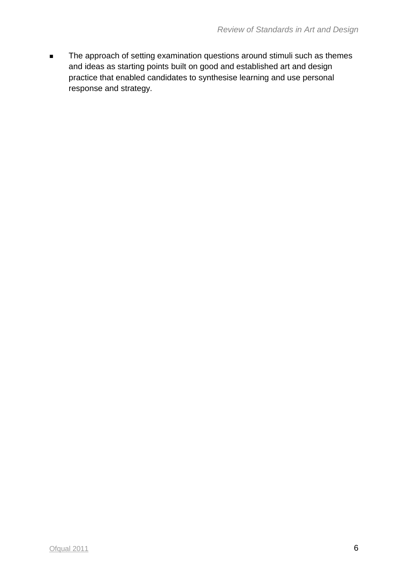The approach of setting examination questions around stimuli such as themes and ideas as starting points built on good and established art and design practice that enabled candidates to synthesise learning and use personal response and strategy.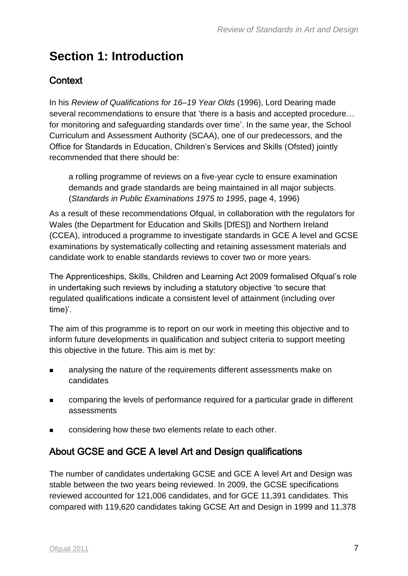## <span id="page-6-0"></span>**Section 1: Introduction**

### <span id="page-6-1"></span>**Context**

In his *Review of Qualifications for 16–19 Year Olds* (1996), Lord Dearing made several recommendations to ensure that 'there is a basis and accepted procedure… for monitoring and safeguarding standards over time'. In the same year, the School Curriculum and Assessment Authority (SCAA), one of our predecessors, and the Office for Standards in Education, Children's Services and Skills (Ofsted) jointly recommended that there should be:

a rolling programme of reviews on a five-year cycle to ensure examination demands and grade standards are being maintained in all major subjects. (*Standards in Public Examinations 1975 to 1995*, page 4, 1996)

As a result of these recommendations Ofqual, in collaboration with the regulators for Wales (the Department for Education and Skills [DfES]) and Northern Ireland (CCEA), introduced a programme to investigate standards in GCE A level and GCSE examinations by systematically collecting and retaining assessment materials and candidate work to enable standards reviews to cover two or more years.

The Apprenticeships, Skills, Children and Learning Act 2009 formalised Ofqual's role in undertaking such reviews by including a statutory objective 'to secure that regulated qualifications indicate a consistent level of attainment (including over time)'.

The aim of this programme is to report on our work in meeting this objective and to inform future developments in qualification and subject criteria to support meeting this objective in the future. This aim is met by:

- **EXECUTE:** analysing the nature of the requirements different assessments make on candidates
- comparing the levels of performance required for a particular grade in different assessments
- considering how these two elements relate to each other.

### <span id="page-6-2"></span>About GCSE and GCE A level Art and Design qualifications

The number of candidates undertaking GCSE and GCE A level Art and Design was stable between the two years being reviewed. In 2009, the GCSE specifications reviewed accounted for 121,006 candidates, and for GCE 11,391 candidates. This compared with 119,620 candidates taking GCSE Art and Design in 1999 and 11,378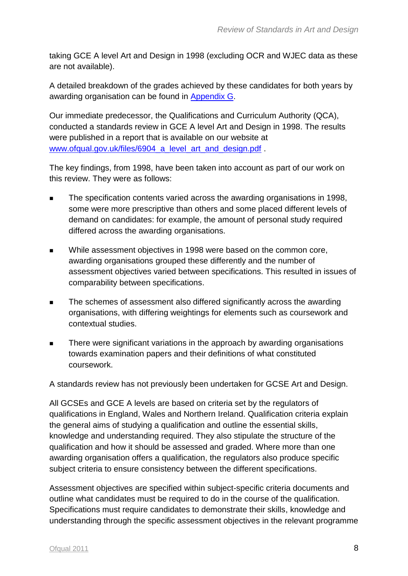taking GCE A level Art and Design in 1998 (excluding OCR and WJEC data as these are not available).

A detailed breakdown of the grades achieved by these candidates for both years by awarding organisation can be found in [Appendix](#page-52-0) G.

Our immediate predecessor, the Qualifications and Curriculum Authority (QCA), conducted a standards review in GCE A level Art and Design in 1998. The results were published in a report that is available on our website at www.ofqual.gov.uk/files/6904 a level art and design.pdf.

The key findings, from 1998, have been taken into account as part of our work on this review. They were as follows:

- The specification contents varied across the awarding organisations in 1998, some were more prescriptive than others and some placed different levels of demand on candidates: for example, the amount of personal study required differed across the awarding organisations.
- While assessment objectives in 1998 were based on the common core, awarding organisations grouped these differently and the number of assessment objectives varied between specifications. This resulted in issues of comparability between specifications.
- The schemes of assessment also differed significantly across the awarding organisations, with differing weightings for elements such as coursework and contextual studies.
- There were significant variations in the approach by awarding organisations towards examination papers and their definitions of what constituted coursework.

A standards review has not previously been undertaken for GCSE Art and Design.

All GCSEs and GCE A levels are based on criteria set by the regulators of qualifications in England, Wales and Northern Ireland. Qualification criteria explain the general aims of studying a qualification and outline the essential skills, knowledge and understanding required. They also stipulate the structure of the qualification and how it should be assessed and graded. Where more than one awarding organisation offers a qualification, the regulators also produce specific subject criteria to ensure consistency between the different specifications.

Assessment objectives are specified within subject-specific criteria documents and outline what candidates must be required to do in the course of the qualification. Specifications must require candidates to demonstrate their skills, knowledge and understanding through the specific assessment objectives in the relevant programme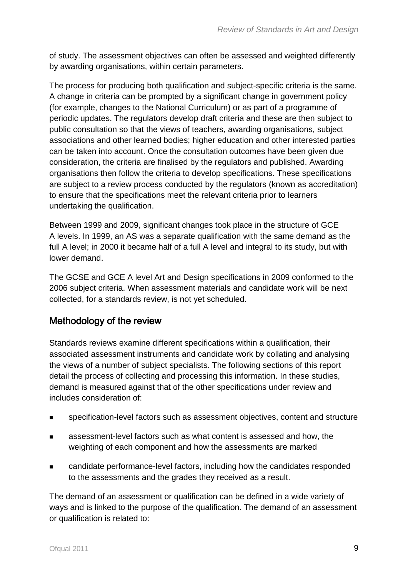of study. The assessment objectives can often be assessed and weighted differently by awarding organisations, within certain parameters.

The process for producing both qualification and subject-specific criteria is the same. A change in criteria can be prompted by a significant change in government policy (for example, changes to the National Curriculum) or as part of a programme of periodic updates. The regulators develop draft criteria and these are then subject to public consultation so that the views of teachers, awarding organisations, subject associations and other learned bodies; higher education and other interested parties can be taken into account. Once the consultation outcomes have been given due consideration, the criteria are finalised by the regulators and published. Awarding organisations then follow the criteria to develop specifications. These specifications are subject to a review process conducted by the regulators (known as accreditation) to ensure that the specifications meet the relevant criteria prior to learners undertaking the qualification.

Between 1999 and 2009, significant changes took place in the structure of GCE A levels. In 1999, an AS was a separate qualification with the same demand as the full A level; in 2000 it became half of a full A level and integral to its study, but with lower demand.

The GCSE and GCE A level Art and Design specifications in 2009 conformed to the 2006 subject criteria. When assessment materials and candidate work will be next collected, for a standards review, is not yet scheduled.

### <span id="page-8-0"></span>Methodology of the review

Standards reviews examine different specifications within a qualification, their associated assessment instruments and candidate work by collating and analysing the views of a number of subject specialists. The following sections of this report detail the process of collecting and processing this information. In these studies, demand is measured against that of the other specifications under review and includes consideration of:

- specification-level factors such as assessment objectives, content and structure
- assessment-level factors such as what content is assessed and how, the weighting of each component and how the assessments are marked
- candidate performance-level factors, including how the candidates responded to the assessments and the grades they received as a result.

The demand of an assessment or qualification can be defined in a wide variety of ways and is linked to the purpose of the qualification. The demand of an assessment or qualification is related to: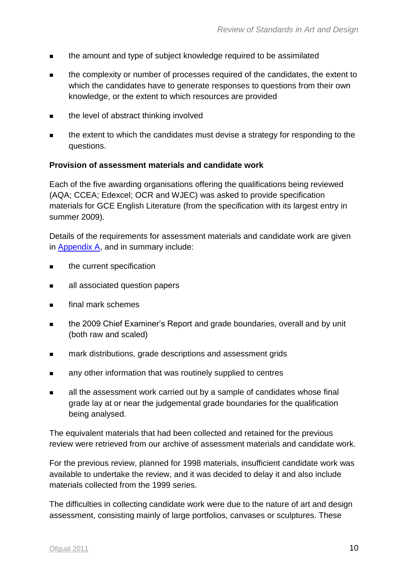- **the amount and type of subject knowledge required to be assimilated**
- the complexity or number of processes required of the candidates, the extent to which the candidates have to generate responses to questions from their own knowledge, or the extent to which resources are provided
- **the level of abstract thinking involved**
- the extent to which the candidates must devise a strategy for responding to the questions.

#### **Provision of assessment materials and candidate work**

Each of the five awarding organisations offering the qualifications being reviewed (AQA; CCEA; Edexcel; OCR and WJEC) was asked to provide specification materials for GCE English Literature (from the specification with its largest entry in summer 2009).

Details of the requirements for assessment materials and candidate work are given in [Appendix A,](#page-34-1) and in summary include:

- **EXECUTE:** the current specification
- **all associated question papers**
- **final mark schemes**
- the 2009 Chief Examiner's Report and grade boundaries, overall and by unit (both raw and scaled)
- **EXECUTE:** mark distributions, grade descriptions and assessment grids
- **EXECUTE:** any other information that was routinely supplied to centres
- all the assessment work carried out by a sample of candidates whose final grade lay at or near the judgemental grade boundaries for the qualification being analysed.

The equivalent materials that had been collected and retained for the previous review were retrieved from our archive of assessment materials and candidate work.

For the previous review, planned for 1998 materials, insufficient candidate work was available to undertake the review, and it was decided to delay it and also include materials collected from the 1999 series.

The difficulties in collecting candidate work were due to the nature of art and design assessment, consisting mainly of large portfolios, canvases or sculptures. These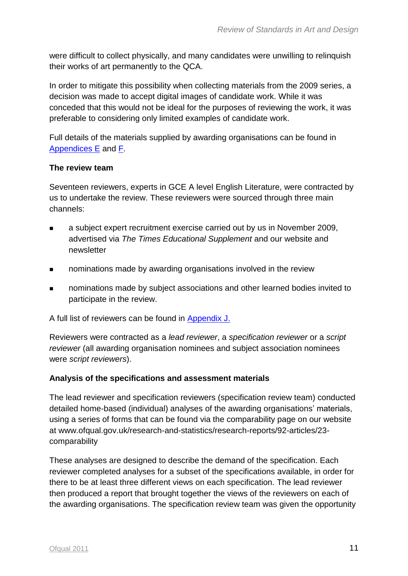were difficult to collect physically, and many candidates were unwilling to relinquish their works of art permanently to the QCA.

In order to mitigate this possibility when collecting materials from the 2009 series, a decision was made to accept digital images of candidate work. While it was conceded that this would not be ideal for the purposes of reviewing the work, it was preferable to considering only limited examples of candidate work.

Full details of the materials supplied by awarding organisations can be found in [Appendices](#page-49-1) E and F.

#### **The review team**

Seventeen reviewers, experts in GCE A level English Literature, were contracted by us to undertake the review. These reviewers were sourced through three main channels:

- a subject expert recruitment exercise carried out by us in November 2009, advertised via *The Times Educational Supplement* and our website and newsletter
- **nominations made by awarding organisations involved in the review**
- nominations made by subject associations and other learned bodies invited to participate in the review.

A full list of reviewers can be found in [Appendix](#page-64-0) J.

Reviewers were contracted as a *lead reviewer*, a *specification reviewer* or a *script reviewer* (all awarding organisation nominees and subject association nominees were *script reviewers*).

#### **Analysis of the specifications and assessment materials**

The lead reviewer and specification reviewers (specification review team) conducted detailed home-based (individual) analyses of the awarding organisations' materials, using a series of forms that can be found via the comparability page on our website at www.ofqual.gov.uk/research-and-statistics/research-reports/92-articles/23 comparability

These analyses are designed to describe the demand of the specification. Each reviewer completed analyses for a subset of the specifications available, in order for there to be at least three different views on each specification. The lead reviewer then produced a report that brought together the views of the reviewers on each of the awarding organisations. The specification review team was given the opportunity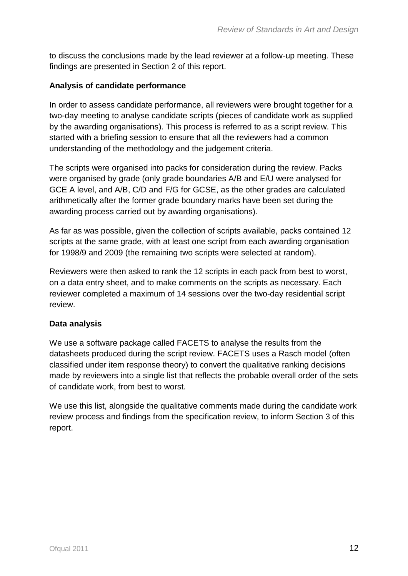to discuss the conclusions made by the lead reviewer at a follow-up meeting. These findings are presented in Section 2 of this report.

#### **Analysis of candidate performance**

In order to assess candidate performance, all reviewers were brought together for a two-day meeting to analyse candidate scripts (pieces of candidate work as supplied by the awarding organisations). This process is referred to as a script review. This started with a briefing session to ensure that all the reviewers had a common understanding of the methodology and the judgement criteria.

The scripts were organised into packs for consideration during the review. Packs were organised by grade (only grade boundaries A/B and E/U were analysed for GCE A level, and A/B, C/D and F/G for GCSE, as the other grades are calculated arithmetically after the former grade boundary marks have been set during the awarding process carried out by awarding organisations).

As far as was possible, given the collection of scripts available, packs contained 12 scripts at the same grade, with at least one script from each awarding organisation for 1998/9 and 2009 (the remaining two scripts were selected at random).

Reviewers were then asked to rank the 12 scripts in each pack from best to worst, on a data entry sheet, and to make comments on the scripts as necessary. Each reviewer completed a maximum of 14 sessions over the two-day residential script review.

#### **Data analysis**

We use a software package called FACETS to analyse the results from the datasheets produced during the script review. FACETS uses a Rasch model (often classified under item response theory) to convert the qualitative ranking decisions made by reviewers into a single list that reflects the probable overall order of the sets of candidate work, from best to worst.

We use this list, alongside the qualitative comments made during the candidate work review process and findings from the specification review, to inform Section 3 of this report.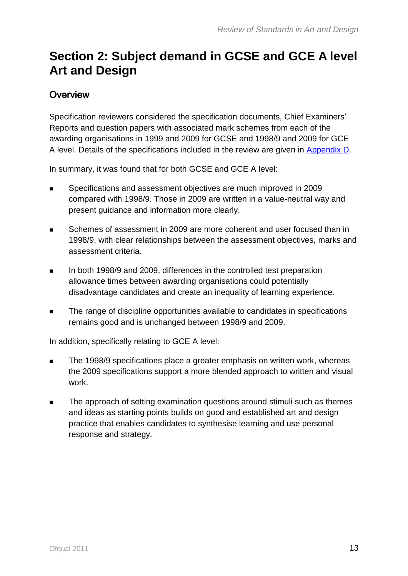## <span id="page-12-0"></span>**Section 2: Subject demand in GCSE and GCE A level Art and Design**

### <span id="page-12-1"></span>**Overview**

Specification reviewers considered the specification documents, Chief Examiners' Reports and question papers with associated mark schemes from each of the awarding organisations in 1999 and 2009 for GCSE and 1998/9 and 2009 for GCE A level. Details of the specifications included in the review are given in [Appendix](#page-49-0) D.

In summary, it was found that for both GCSE and GCE A level:

- **Specifications and assessment objectives are much improved in 2009** compared with 1998/9. Those in 2009 are written in a value-neutral way and present guidance and information more clearly.
- Schemes of assessment in 2009 are more coherent and user focused than in 1998/9, with clear relationships between the assessment objectives, marks and assessment criteria.
- In both 1998/9 and 2009, differences in the controlled test preparation allowance times between awarding organisations could potentially disadvantage candidates and create an inequality of learning experience.
- The range of discipline opportunities available to candidates in specifications remains good and is unchanged between 1998/9 and 2009.

In addition, specifically relating to GCE A level:

- The 1998/9 specifications place a greater emphasis on written work, whereas the 2009 specifications support a more blended approach to written and visual work.
- The approach of setting examination questions around stimuli such as themes and ideas as starting points builds on good and established art and design practice that enables candidates to synthesise learning and use personal response and strategy.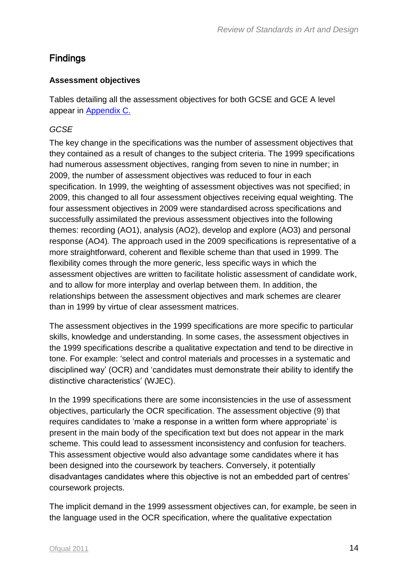### <span id="page-13-0"></span>Findings

#### **Assessment objectives**

Tables detailing all the assessment objectives for both GCSE and GCE A level appear in [Appendix](#page-37-1) C.

#### *GCSE*

The key change in the specifications was the number of assessment objectives that they contained as a result of changes to the subject criteria. The 1999 specifications had numerous assessment objectives, ranging from seven to nine in number; in 2009, the number of assessment objectives was reduced to four in each specification. In 1999, the weighting of assessment objectives was not specified; in 2009, this changed to all four assessment objectives receiving equal weighting. The four assessment objectives in 2009 were standardised across specifications and successfully assimilated the previous assessment objectives into the following themes: recording (AO1), analysis (AO2), develop and explore (AO3) and personal response (AO4)*.* The approach used in the 2009 specifications is representative of a more straightforward, coherent and flexible scheme than that used in 1999. The flexibility comes through the more generic, less specific ways in which the assessment objectives are written to facilitate holistic assessment of candidate work, and to allow for more interplay and overlap between them. In addition, the relationships between the assessment objectives and mark schemes are clearer than in 1999 by virtue of clear assessment matrices.

The assessment objectives in the 1999 specifications are more specific to particular skills, knowledge and understanding. In some cases, the assessment objectives in the 1999 specifications describe a qualitative expectation and tend to be directive in tone. For example: 'select and control materials and processes in a systematic and disciplined way' (OCR) and 'candidates must demonstrate their ability to identify the distinctive characteristics' (WJEC).

In the 1999 specifications there are some inconsistencies in the use of assessment objectives, particularly the OCR specification. The assessment objective (9) that requires candidates to 'make a response in a written form where appropriate' is present in the main body of the specification text but does not appear in the mark scheme. This could lead to assessment inconsistency and confusion for teachers. This assessment objective would also advantage some candidates where it has been designed into the coursework by teachers. Conversely, it potentially disadvantages candidates where this objective is not an embedded part of centres' coursework projects.

The implicit demand in the 1999 assessment objectives can, for example, be seen in the language used in the OCR specification, where the qualitative expectation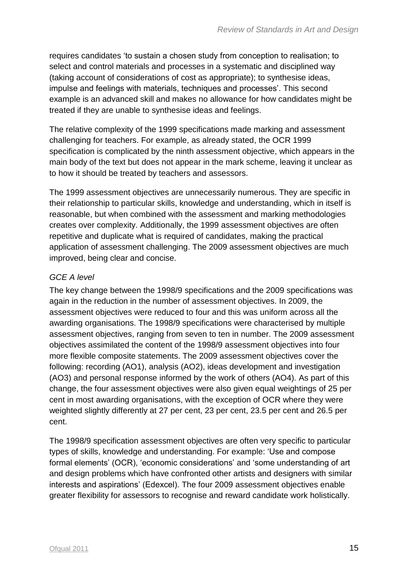requires candidates 'to sustain a chosen study from conception to realisation; to select and control materials and processes in a systematic and disciplined way (taking account of considerations of cost as appropriate); to synthesise ideas, impulse and feelings with materials, techniques and processes'. This second example is an advanced skill and makes no allowance for how candidates might be treated if they are unable to synthesise ideas and feelings.

The relative complexity of the 1999 specifications made marking and assessment challenging for teachers. For example, as already stated, the OCR 1999 specification is complicated by the ninth assessment objective, which appears in the main body of the text but does not appear in the mark scheme, leaving it unclear as to how it should be treated by teachers and assessors.

The 1999 assessment objectives are unnecessarily numerous. They are specific in their relationship to particular skills, knowledge and understanding, which in itself is reasonable, but when combined with the assessment and marking methodologies creates over complexity. Additionally, the 1999 assessment objectives are often repetitive and duplicate what is required of candidates, making the practical application of assessment challenging. The 2009 assessment objectives are much improved, being clear and concise.

#### *GCE A level*

The key change between the 1998/9 specifications and the 2009 specifications was again in the reduction in the number of assessment objectives. In 2009, the assessment objectives were reduced to four and this was uniform across all the awarding organisations. The 1998/9 specifications were characterised by multiple assessment objectives, ranging from seven to ten in number. The 2009 assessment objectives assimilated the content of the 1998/9 assessment objectives into four more flexible composite statements. The 2009 assessment objectives cover the following: recording (AO1), analysis (AO2), ideas development and investigation (AO3) and personal response informed by the work of others (AO4). As part of this change, the four assessment objectives were also given equal weightings of 25 per cent in most awarding organisations, with the exception of OCR where they were weighted slightly differently at 27 per cent, 23 per cent, 23.5 per cent and 26.5 per cent.

The 1998/9 specification assessment objectives are often very specific to particular types of skills, knowledge and understanding. For example: 'Use and compose formal elements' (OCR), 'economic considerations' and 'some understanding of art and design problems which have confronted other artists and designers with similar interests and aspirations' (Edexcel). The four 2009 assessment objectives enable greater flexibility for assessors to recognise and reward candidate work holistically.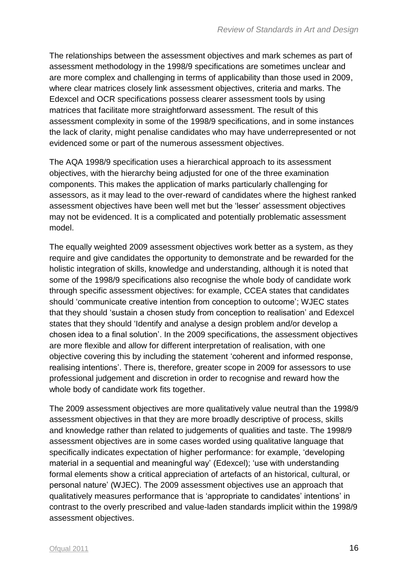The relationships between the assessment objectives and mark schemes as part of assessment methodology in the 1998/9 specifications are sometimes unclear and are more complex and challenging in terms of applicability than those used in 2009, where clear matrices closely link assessment objectives, criteria and marks. The Edexcel and OCR specifications possess clearer assessment tools by using matrices that facilitate more straightforward assessment. The result of this assessment complexity in some of the 1998/9 specifications, and in some instances the lack of clarity, might penalise candidates who may have underrepresented or not evidenced some or part of the numerous assessment objectives.

The AQA 1998/9 specification uses a hierarchical approach to its assessment objectives, with the hierarchy being adjusted for one of the three examination components. This makes the application of marks particularly challenging for assessors, as it may lead to the over-reward of candidates where the highest ranked assessment objectives have been well met but the 'lesser' assessment objectives may not be evidenced. It is a complicated and potentially problematic assessment model.

The equally weighted 2009 assessment objectives work better as a system, as they require and give candidates the opportunity to demonstrate and be rewarded for the holistic integration of skills, knowledge and understanding, although it is noted that some of the 1998/9 specifications also recognise the whole body of candidate work through specific assessment objectives: for example, CCEA states that candidates should 'communicate creative intention from conception to outcome'; WJEC states that they should 'sustain a chosen study from conception to realisation' and Edexcel states that they should 'Identify and analyse a design problem and/or develop a chosen idea to a final solution'. In the 2009 specifications, the assessment objectives are more flexible and allow for different interpretation of realisation, with one objective covering this by including the statement 'coherent and informed response, realising intentions'. There is, therefore, greater scope in 2009 for assessors to use professional judgement and discretion in order to recognise and reward how the whole body of candidate work fits together.

The 2009 assessment objectives are more qualitatively value neutral than the 1998/9 assessment objectives in that they are more broadly descriptive of process, skills and knowledge rather than related to judgements of qualities and taste. The 1998/9 assessment objectives are in some cases worded using qualitative language that specifically indicates expectation of higher performance: for example, 'developing material in a sequential and meaningful way' (Edexcel); 'use with understanding formal elements show a critical appreciation of artefacts of an historical, cultural, or personal nature' (WJEC). The 2009 assessment objectives use an approach that qualitatively measures performance that is 'appropriate to candidates' intentions' in contrast to the overly prescribed and value-laden standards implicit within the 1998/9 assessment objectives.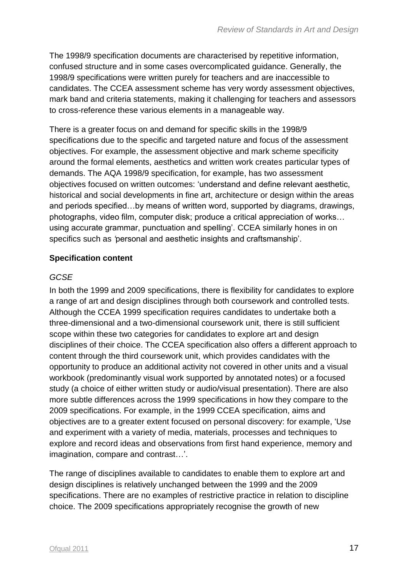The 1998/9 specification documents are characterised by repetitive information, confused structure and in some cases overcomplicated guidance. Generally, the 1998/9 specifications were written purely for teachers and are inaccessible to candidates. The CCEA assessment scheme has very wordy assessment objectives, mark band and criteria statements, making it challenging for teachers and assessors to cross-reference these various elements in a manageable way.

There is a greater focus on and demand for specific skills in the 1998/9 specifications due to the specific and targeted nature and focus of the assessment objectives. For example, the assessment objective and mark scheme specificity around the formal elements, aesthetics and written work creates particular types of demands. The AQA 1998/9 specification, for example, has two assessment objectives focused on written outcomes: 'understand and define relevant aesthetic, historical and social developments in fine art, architecture or design within the areas and periods specified…by means of written word, supported by diagrams, drawings, photographs, video film, computer disk; produce a critical appreciation of works… using accurate grammar, punctuation and spelling'. CCEA similarly hones in on specifics such as *'*personal and aesthetic insights and craftsmanship'.

#### **Specification content**

#### *GCSE*

In both the 1999 and 2009 specifications, there is flexibility for candidates to explore a range of art and design disciplines through both coursework and controlled tests. Although the CCEA 1999 specification requires candidates to undertake both a three-dimensional and a two-dimensional coursework unit, there is still sufficient scope within these two categories for candidates to explore art and design disciplines of their choice. The CCEA specification also offers a different approach to content through the third coursework unit, which provides candidates with the opportunity to produce an additional activity not covered in other units and a visual workbook (predominantly visual work supported by annotated notes) or a focused study (a choice of either written study or audio/visual presentation). There are also more subtle differences across the 1999 specifications in how they compare to the 2009 specifications. For example, in the 1999 CCEA specification, aims and objectives are to a greater extent focused on personal discovery: for example, 'Use and experiment with a variety of media, materials, processes and techniques to explore and record ideas and observations from first hand experience, memory and imagination, compare and contrast…'.

The range of disciplines available to candidates to enable them to explore art and design disciplines is relatively unchanged between the 1999 and the 2009 specifications. There are no examples of restrictive practice in relation to discipline choice. The 2009 specifications appropriately recognise the growth of new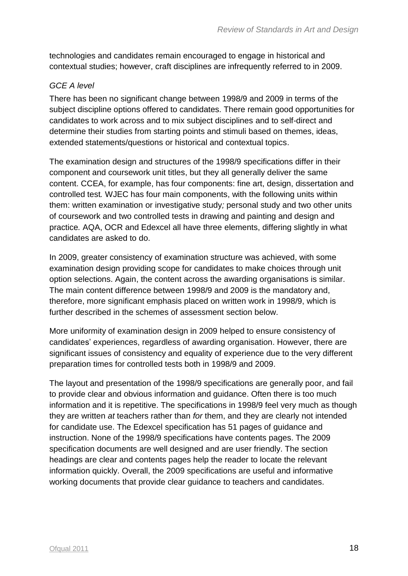technologies and candidates remain encouraged to engage in historical and contextual studies; however, craft disciplines are infrequently referred to in 2009.

#### *GCE A level*

There has been no significant change between 1998/9 and 2009 in terms of the subject discipline options offered to candidates. There remain good opportunities for candidates to work across and to mix subject disciplines and to self-direct and determine their studies from starting points and stimuli based on themes, ideas, extended statements/questions or historical and contextual topics.

The examination design and structures of the 1998/9 specifications differ in their component and coursework unit titles, but they all generally deliver the same content. CCEA, for example, has four components: fine art, design, dissertation and controlled test*.* WJEC has four main components, with the following units within them: written examination or investigative study*;* personal study and two other units of coursework and two controlled tests in drawing and painting and design and practice*.* AQA, OCR and Edexcel all have three elements, differing slightly in what candidates are asked to do.

In 2009, greater consistency of examination structure was achieved, with some examination design providing scope for candidates to make choices through unit option selections. Again, the content across the awarding organisations is similar. The main content difference between 1998/9 and 2009 is the mandatory and, therefore, more significant emphasis placed on written work in 1998/9, which is further described in the schemes of assessment section below.

More uniformity of examination design in 2009 helped to ensure consistency of candidates' experiences, regardless of awarding organisation. However, there are significant issues of consistency and equality of experience due to the very different preparation times for controlled tests both in 1998/9 and 2009.

The layout and presentation of the 1998/9 specifications are generally poor, and fail to provide clear and obvious information and guidance. Often there is too much information and it is repetitive. The specifications in 1998/9 feel very much as though they are written *at* teachers rather than *for* them, and they are clearly not intended for candidate use. The Edexcel specification has 51 pages of guidance and instruction. None of the 1998/9 specifications have contents pages. The 2009 specification documents are well designed and are user friendly. The section headings are clear and contents pages help the reader to locate the relevant information quickly. Overall, the 2009 specifications are useful and informative working documents that provide clear guidance to teachers and candidates.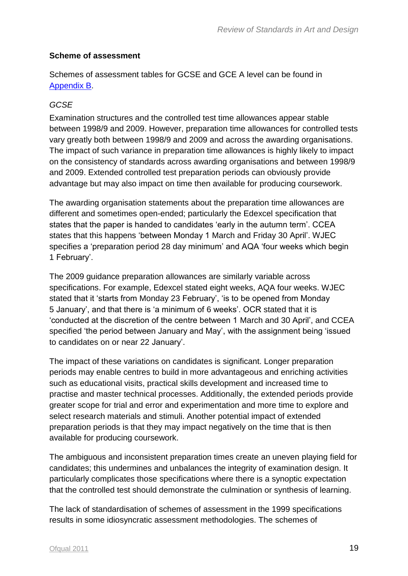#### **Scheme of assessment**

Schemes of assessment tables for GCSE and GCE A level can be found in Appendix B.

#### *GCSE*

Examination structures and the controlled test time allowances appear stable between 1998/9 and 2009. However, preparation time allowances for controlled tests vary greatly both between 1998/9 and 2009 and across the awarding organisations. The impact of such variance in preparation time allowances is highly likely to impact on the consistency of standards across awarding organisations and between 1998/9 and 2009. Extended controlled test preparation periods can obviously provide advantage but may also impact on time then available for producing coursework.

The awarding organisation statements about the preparation time allowances are different and sometimes open-ended; particularly the Edexcel specification that states that the paper is handed to candidates 'early in the autumn term'. CCEA states that this happens 'between Monday 1 March and Friday 30 April'. WJEC specifies a 'preparation period 28 day minimum' and AQA 'four weeks which begin 1 February'.

The 2009 guidance preparation allowances are similarly variable across specifications. For example, Edexcel stated eight weeks, AQA four weeks. WJEC stated that it 'starts from Monday 23 February', 'is to be opened from Monday 5 January', and that there is 'a minimum of 6 weeks'. OCR stated that it is 'conducted at the discretion of the centre between 1 March and 30 April', and CCEA specified 'the period between January and May', with the assignment being 'issued to candidates on or near 22 January'.

The impact of these variations on candidates is significant. Longer preparation periods may enable centres to build in more advantageous and enriching activities such as educational visits, practical skills development and increased time to practise and master technical processes. Additionally, the extended periods provide greater scope for trial and error and experimentation and more time to explore and select research materials and stimuli. Another potential impact of extended preparation periods is that they may impact negatively on the time that is then available for producing coursework.

The ambiguous and inconsistent preparation times create an uneven playing field for candidates; this undermines and unbalances the integrity of examination design. It particularly complicates those specifications where there is a synoptic expectation that the controlled test should demonstrate the culmination or synthesis of learning.

The lack of standardisation of schemes of assessment in the 1999 specifications results in some idiosyncratic assessment methodologies. The schemes of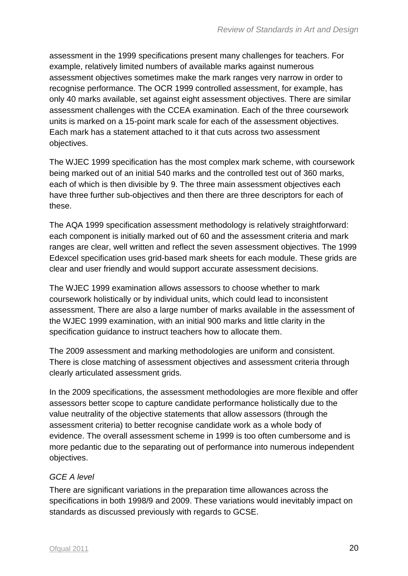assessment in the 1999 specifications present many challenges for teachers. For example, relatively limited numbers of available marks against numerous assessment objectives sometimes make the mark ranges very narrow in order to recognise performance. The OCR 1999 controlled assessment, for example, has only 40 marks available, set against eight assessment objectives. There are similar assessment challenges with the CCEA examination. Each of the three coursework units is marked on a 15-point mark scale for each of the assessment objectives. Each mark has a statement attached to it that cuts across two assessment objectives.

The WJEC 1999 specification has the most complex mark scheme, with coursework being marked out of an initial 540 marks and the controlled test out of 360 marks, each of which is then divisible by 9. The three main assessment objectives each have three further sub-objectives and then there are three descriptors for each of these.

The AQA 1999 specification assessment methodology is relatively straightforward: each component is initially marked out of 60 and the assessment criteria and mark ranges are clear, well written and reflect the seven assessment objectives. The 1999 Edexcel specification uses grid-based mark sheets for each module. These grids are clear and user friendly and would support accurate assessment decisions.

The WJEC 1999 examination allows assessors to choose whether to mark coursework holistically or by individual units, which could lead to inconsistent assessment. There are also a large number of marks available in the assessment of the WJEC 1999 examination, with an initial 900 marks and little clarity in the specification guidance to instruct teachers how to allocate them.

The 2009 assessment and marking methodologies are uniform and consistent. There is close matching of assessment objectives and assessment criteria through clearly articulated assessment grids.

In the 2009 specifications, the assessment methodologies are more flexible and offer assessors better scope to capture candidate performance holistically due to the value neutrality of the objective statements that allow assessors (through the assessment criteria) to better recognise candidate work as a whole body of evidence. The overall assessment scheme in 1999 is too often cumbersome and is more pedantic due to the separating out of performance into numerous independent objectives.

#### *GCE A level*

There are significant variations in the preparation time allowances across the specifications in both 1998/9 and 2009. These variations would inevitably impact on standards as discussed previously with regards to GCSE.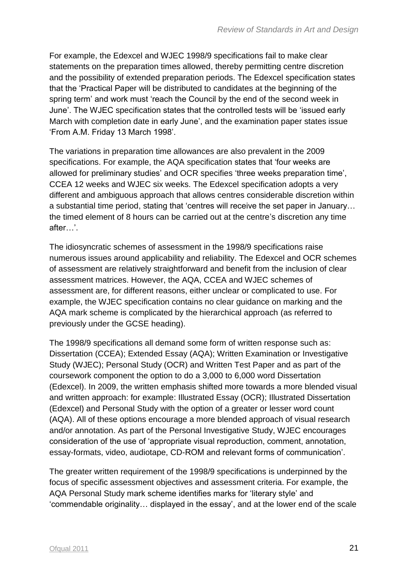For example, the Edexcel and WJEC 1998/9 specifications fail to make clear statements on the preparation times allowed, thereby permitting centre discretion and the possibility of extended preparation periods. The Edexcel specification states that the 'Practical Paper will be distributed to candidates at the beginning of the spring term' and work must 'reach the Council by the end of the second week in June'. The WJEC specification states that the controlled tests will be 'issued early March with completion date in early June', and the examination paper states issue 'From A.M. Friday 13 March 1998'.

The variations in preparation time allowances are also prevalent in the 2009 specifications. For example, the AQA specification states that 'four weeks are allowed for preliminary studies' and OCR specifies 'three weeks preparation time', CCEA 12 weeks and WJEC six weeks. The Edexcel specification adopts a very different and ambiguous approach that allows centres considerable discretion within a substantial time period, stating that 'centres will receive the set paper in January… the timed element of 8 hours can be carried out at the centre's discretion any time after…'.

The idiosyncratic schemes of assessment in the 1998/9 specifications raise numerous issues around applicability and reliability. The Edexcel and OCR schemes of assessment are relatively straightforward and benefit from the inclusion of clear assessment matrices. However, the AQA, CCEA and WJEC schemes of assessment are, for different reasons, either unclear or complicated to use. For example, the WJEC specification contains no clear guidance on marking and the AQA mark scheme is complicated by the hierarchical approach (as referred to previously under the GCSE heading).

The 1998/9 specifications all demand some form of written response such as: Dissertation (CCEA); Extended Essay (AQA); Written Examination or Investigative Study (WJEC); Personal Study (OCR) and Written Test Paper and as part of the coursework component the option to do a 3,000 to 6,000 word Dissertation (Edexcel). In 2009, the written emphasis shifted more towards a more blended visual and written approach: for example: Illustrated Essay (OCR); Illustrated Dissertation (Edexcel) and Personal Study with the option of a greater or lesser word count (AQA). All of these options encourage a more blended approach of visual research and/or annotation. As part of the Personal Investigative Study, WJEC encourages consideration of the use of 'appropriate visual reproduction, comment, annotation, essay-formats, video, audiotape, CD-ROM and relevant forms of communication'.

The greater written requirement of the 1998/9 specifications is underpinned by the focus of specific assessment objectives and assessment criteria. For example, the AQA Personal Study mark scheme identifies marks for 'literary style' and 'commendable originality… displayed in the essay', and at the lower end of the scale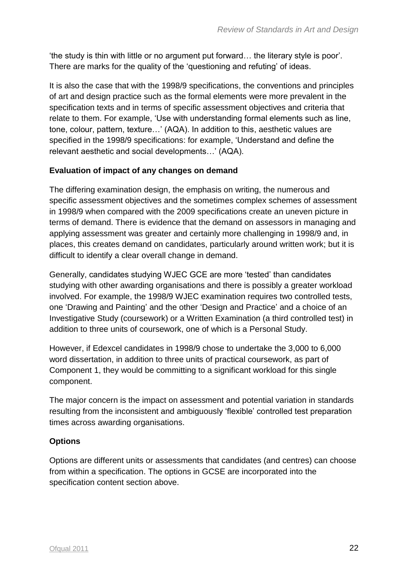'the study is thin with little or no argument put forward… the literary style is poor'. There are marks for the quality of the 'questioning and refuting' of ideas.

It is also the case that with the 1998/9 specifications, the conventions and principles of art and design practice such as the formal elements were more prevalent in the specification texts and in terms of specific assessment objectives and criteria that relate to them. For example, 'Use with understanding formal elements such as line, tone, colour, pattern, texture…' (AQA). In addition to this, aesthetic values are specified in the 1998/9 specifications: for example, 'Understand and define the relevant aesthetic and social developments…' (AQA).

#### **Evaluation of impact of any changes on demand**

The differing examination design, the emphasis on writing, the numerous and specific assessment objectives and the sometimes complex schemes of assessment in 1998/9 when compared with the 2009 specifications create an uneven picture in terms of demand. There is evidence that the demand on assessors in managing and applying assessment was greater and certainly more challenging in 1998/9 and, in places, this creates demand on candidates, particularly around written work; but it is difficult to identify a clear overall change in demand.

Generally, candidates studying WJEC GCE are more 'tested' than candidates studying with other awarding organisations and there is possibly a greater workload involved. For example, the 1998/9 WJEC examination requires two controlled tests, one 'Drawing and Painting' and the other 'Design and Practice' and a choice of an Investigative Study (coursework) or a Written Examination (a third controlled test) in addition to three units of coursework, one of which is a Personal Study.

However, if Edexcel candidates in 1998/9 chose to undertake the 3,000 to 6,000 word dissertation, in addition to three units of practical coursework, as part of Component 1, they would be committing to a significant workload for this single component.

The major concern is the impact on assessment and potential variation in standards resulting from the inconsistent and ambiguously 'flexible' controlled test preparation times across awarding organisations.

#### **Options**

Options are different units or assessments that candidates (and centres) can choose from within a specification. The options in GCSE are incorporated into the specification content section above.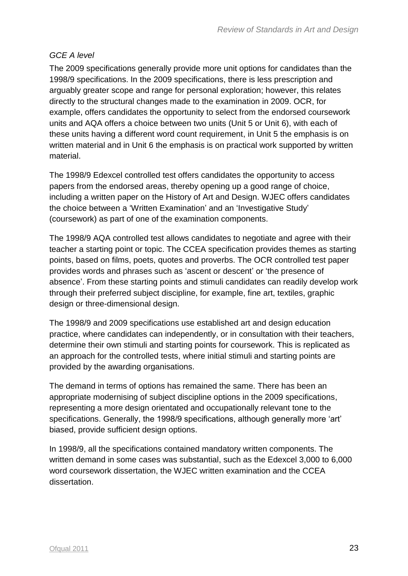#### *GCE A level*

The 2009 specifications generally provide more unit options for candidates than the 1998/9 specifications. In the 2009 specifications, there is less prescription and arguably greater scope and range for personal exploration; however, this relates directly to the structural changes made to the examination in 2009. OCR, for example, offers candidates the opportunity to select from the endorsed coursework units and AQA offers a choice between two units (Unit 5 or Unit 6), with each of these units having a different word count requirement, in Unit 5 the emphasis is on written material and in Unit 6 the emphasis is on practical work supported by written material.

The 1998/9 Edexcel controlled test offers candidates the opportunity to access papers from the endorsed areas, thereby opening up a good range of choice, including a written paper on the History of Art and Design. WJEC offers candidates the choice between a 'Written Examination' and an 'Investigative Study' (coursework) as part of one of the examination components.

The 1998/9 AQA controlled test allows candidates to negotiate and agree with their teacher a starting point or topic. The CCEA specification provides themes as starting points, based on films, poets, quotes and proverbs. The OCR controlled test paper provides words and phrases such as 'ascent or descent' or 'the presence of absence'. From these starting points and stimuli candidates can readily develop work through their preferred subject discipline, for example, fine art, textiles, graphic design or three-dimensional design.

The 1998/9 and 2009 specifications use established art and design education practice, where candidates can independently, or in consultation with their teachers, determine their own stimuli and starting points for coursework. This is replicated as an approach for the controlled tests, where initial stimuli and starting points are provided by the awarding organisations.

The demand in terms of options has remained the same. There has been an appropriate modernising of subject discipline options in the 2009 specifications, representing a more design orientated and occupationally relevant tone to the specifications. Generally, the 1998/9 specifications, although generally more 'art' biased, provide sufficient design options.

In 1998/9, all the specifications contained mandatory written components. The written demand in some cases was substantial, such as the Edexcel 3,000 to 6,000 word coursework dissertation, the WJEC written examination and the CCEA dissertation.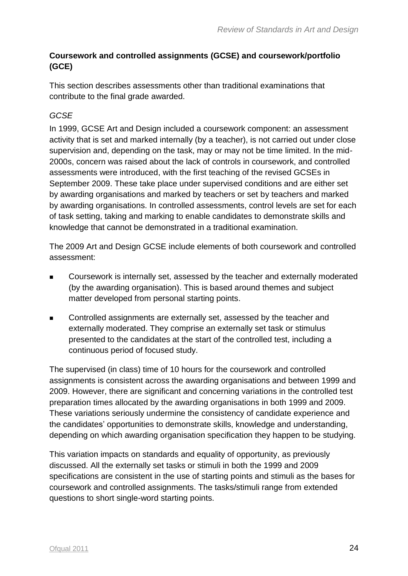#### **Coursework and controlled assignments (GCSE) and coursework/portfolio (GCE)**

This section describes assessments other than traditional examinations that contribute to the final grade awarded.

#### *GCSE*

In 1999, GCSE Art and Design included a coursework component: an assessment activity that is set and marked internally (by a teacher), is not carried out under close supervision and, depending on the task, may or may not be time limited. In the mid-2000s, concern was raised about the lack of controls in coursework, and controlled assessments were introduced, with the first teaching of the revised GCSEs in September 2009. These take place under supervised conditions and are either set by awarding organisations and marked by teachers or set by teachers and marked by awarding organisations. In controlled assessments, control levels are set for each of task setting, taking and marking to enable candidates to demonstrate skills and knowledge that cannot be demonstrated in a traditional examination.

The 2009 Art and Design GCSE include elements of both coursework and controlled assessment:

- Coursework is internally set, assessed by the teacher and externally moderated (by the awarding organisation). This is based around themes and subject matter developed from personal starting points.
- Controlled assignments are externally set, assessed by the teacher and externally moderated. They comprise an externally set task or stimulus presented to the candidates at the start of the controlled test, including a continuous period of focused study.

The supervised (in class) time of 10 hours for the coursework and controlled assignments is consistent across the awarding organisations and between 1999 and 2009. However, there are significant and concerning variations in the controlled test preparation times allocated by the awarding organisations in both 1999 and 2009. These variations seriously undermine the consistency of candidate experience and the candidates' opportunities to demonstrate skills, knowledge and understanding, depending on which awarding organisation specification they happen to be studying.

This variation impacts on standards and equality of opportunity, as previously discussed. All the externally set tasks or stimuli in both the 1999 and 2009 specifications are consistent in the use of starting points and stimuli as the bases for coursework and controlled assignments. The tasks/stimuli range from extended questions to short single-word starting points.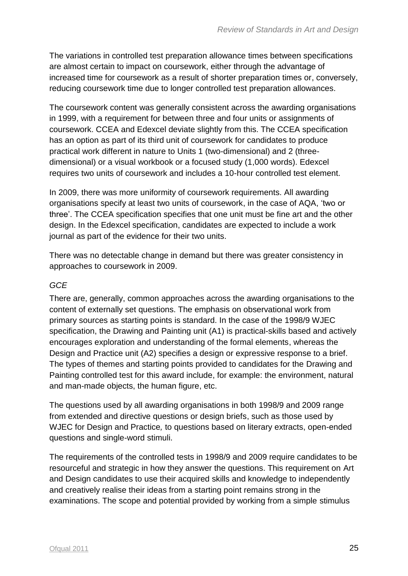The variations in controlled test preparation allowance times between specifications are almost certain to impact on coursework, either through the advantage of increased time for coursework as a result of shorter preparation times or, conversely, reducing coursework time due to longer controlled test preparation allowances.

The coursework content was generally consistent across the awarding organisations in 1999, with a requirement for between three and four units or assignments of coursework. CCEA and Edexcel deviate slightly from this. The CCEA specification has an option as part of its third unit of coursework for candidates to produce practical work different in nature to Units 1 (two-dimensional) and 2 (threedimensional) or a visual workbook or a focused study (1,000 words). Edexcel requires two units of coursework and includes a 10-hour controlled test element.

In 2009, there was more uniformity of coursework requirements. All awarding organisations specify at least two units of coursework, in the case of AQA, 'two or three'. The CCEA specification specifies that one unit must be fine art and the other design. In the Edexcel specification, candidates are expected to include a work journal as part of the evidence for their two units.

There was no detectable change in demand but there was greater consistency in approaches to coursework in 2009.

#### *GCE*

There are, generally, common approaches across the awarding organisations to the content of externally set questions. The emphasis on observational work from primary sources as starting points is standard. In the case of the 1998/9 WJEC specification, the Drawing and Painting unit (A1) is practical-skills based and actively encourages exploration and understanding of the formal elements, whereas the Design and Practice unit (A2) specifies a design or expressive response to a brief. The types of themes and starting points provided to candidates for the Drawing and Painting controlled test for this award include, for example: the environment, natural and man-made objects, the human figure, etc.

The questions used by all awarding organisations in both 1998/9 and 2009 range from extended and directive questions or design briefs, such as those used by WJEC for Design and Practice*,* to questions based on literary extracts, open-ended questions and single-word stimuli.

The requirements of the controlled tests in 1998/9 and 2009 require candidates to be resourceful and strategic in how they answer the questions. This requirement on Art and Design candidates to use their acquired skills and knowledge to independently and creatively realise their ideas from a starting point remains strong in the examinations. The scope and potential provided by working from a simple stimulus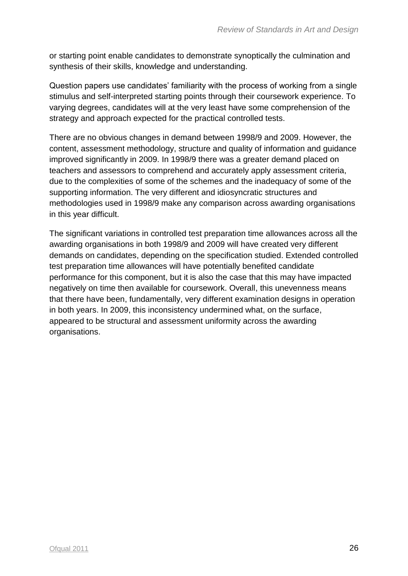or starting point enable candidates to demonstrate synoptically the culmination and synthesis of their skills, knowledge and understanding.

Question papers use candidates' familiarity with the process of working from a single stimulus and self-interpreted starting points through their coursework experience. To varying degrees, candidates will at the very least have some comprehension of the strategy and approach expected for the practical controlled tests.

There are no obvious changes in demand between 1998/9 and 2009. However, the content, assessment methodology, structure and quality of information and guidance improved significantly in 2009. In 1998/9 there was a greater demand placed on teachers and assessors to comprehend and accurately apply assessment criteria, due to the complexities of some of the schemes and the inadequacy of some of the supporting information. The very different and idiosyncratic structures and methodologies used in 1998/9 make any comparison across awarding organisations in this year difficult.

The significant variations in controlled test preparation time allowances across all the awarding organisations in both 1998/9 and 2009 will have created very different demands on candidates, depending on the specification studied. Extended controlled test preparation time allowances will have potentially benefited candidate performance for this component, but it is also the case that this may have impacted negatively on time then available for coursework. Overall, this unevenness means that there have been, fundamentally, very different examination designs in operation in both years. In 2009, this inconsistency undermined what, on the surface, appeared to be structural and assessment uniformity across the awarding organisations.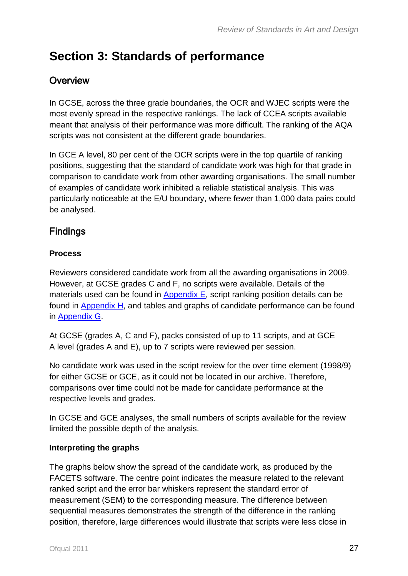## <span id="page-26-0"></span>**Section 3: Standards of performance**

### <span id="page-26-1"></span>**Overview**

In GCSE, across the three grade boundaries, the OCR and WJEC scripts were the most evenly spread in the respective rankings. The lack of CCEA scripts available meant that analysis of their performance was more difficult. The ranking of the AQA scripts was not consistent at the different grade boundaries.

In GCE A level, 80 per cent of the OCR scripts were in the top quartile of ranking positions, suggesting that the standard of candidate work was high for that grade in comparison to candidate work from other awarding organisations. The small number of examples of candidate work inhibited a reliable statistical analysis. This was particularly noticeable at the E/U boundary, where fewer than 1,000 data pairs could be analysed.

### <span id="page-26-2"></span>**Findings**

#### **Process**

Reviewers considered candidate work from all the awarding organisations in 2009. However, at GCSE grades C and F, no scripts were available. Details of the materials used can be found in  $Appendix E$ , script ranking position details can be found in [Appendix](#page-55-1) H, and tables and graphs of candidate performance can be found in [Appendix](#page-52-0) G.

At GCSE (grades A, C and F), packs consisted of up to 11 scripts, and at GCE A level (grades A and E), up to 7 scripts were reviewed per session.

No candidate work was used in the script review for the over time element (1998/9) for either GCSE or GCE, as it could not be located in our archive. Therefore, comparisons over time could not be made for candidate performance at the respective levels and grades.

In GCSE and GCE analyses, the small numbers of scripts available for the review limited the possible depth of the analysis.

#### **Interpreting the graphs**

The graphs below show the spread of the candidate work, as produced by the FACETS software. The centre point indicates the measure related to the relevant ranked script and the error bar whiskers represent the standard error of measurement (SEM) to the corresponding measure. The difference between sequential measures demonstrates the strength of the difference in the ranking position, therefore, large differences would illustrate that scripts were less close in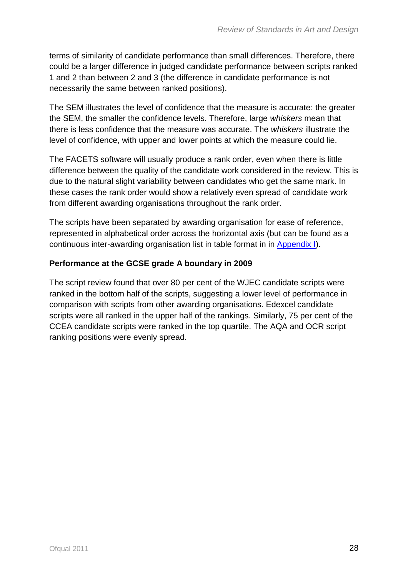terms of similarity of candidate performance than small differences. Therefore, there could be a larger difference in judged candidate performance between scripts ranked 1 and 2 than between 2 and 3 (the difference in candidate performance is not necessarily the same between ranked positions).

The SEM illustrates the level of confidence that the measure is accurate: the greater the SEM, the smaller the confidence levels. Therefore, large *whiskers* mean that there is less confidence that the measure was accurate. The *whiskers* illustrate the level of confidence, with upper and lower points at which the measure could lie.

The FACETS software will usually produce a rank order, even when there is little difference between the quality of the candidate work considered in the review. This is due to the natural slight variability between candidates who get the same mark. In these cases the rank order would show a relatively even spread of candidate work from different awarding organisations throughout the rank order.

The scripts have been separated by awarding organisation for ease of reference, represented in alphabetical order across the horizontal axis (but can be found as a continuous inter-awarding organisation list in table format in in [Appendix](#page-60-1) I).

#### **Performance at the GCSE grade A boundary in 2009**

The script review found that over 80 per cent of the WJEC candidate scripts were ranked in the bottom half of the scripts, suggesting a lower level of performance in comparison with scripts from other awarding organisations. Edexcel candidate scripts were all ranked in the upper half of the rankings. Similarly, 75 per cent of the CCEA candidate scripts were ranked in the top quartile. The AQA and OCR script ranking positions were evenly spread.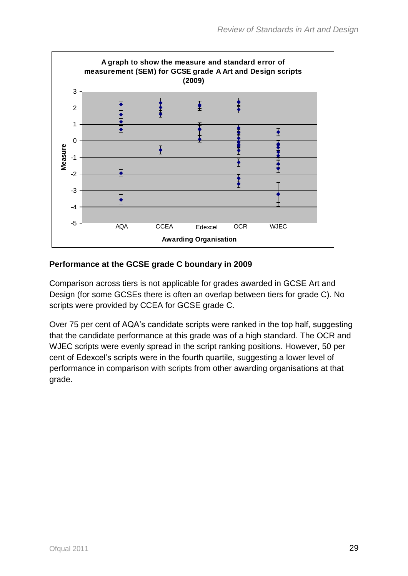

#### **Performance at the GCSE grade C boundary in 2009**

Comparison across tiers is not applicable for grades awarded in GCSE Art and Design (for some GCSEs there is often an overlap between tiers for grade C). No scripts were provided by CCEA for GCSE grade C.

Over 75 per cent of AQA's candidate scripts were ranked in the top half, suggesting that the candidate performance at this grade was of a high standard. The OCR and WJEC scripts were evenly spread in the script ranking positions. However, 50 per cent of Edexcel's scripts were in the fourth quartile, suggesting a lower level of performance in comparison with scripts from other awarding organisations at that grade.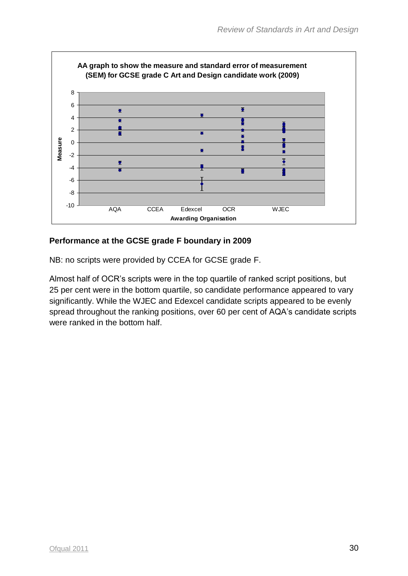

#### **Performance at the GCSE grade F boundary in 2009**

NB: no scripts were provided by CCEA for GCSE grade F.

Almost half of OCR's scripts were in the top quartile of ranked script positions, but 25 per cent were in the bottom quartile, so candidate performance appeared to vary significantly. While the WJEC and Edexcel candidate scripts appeared to be evenly spread throughout the ranking positions, over 60 per cent of AQA's candidate scripts were ranked in the bottom half.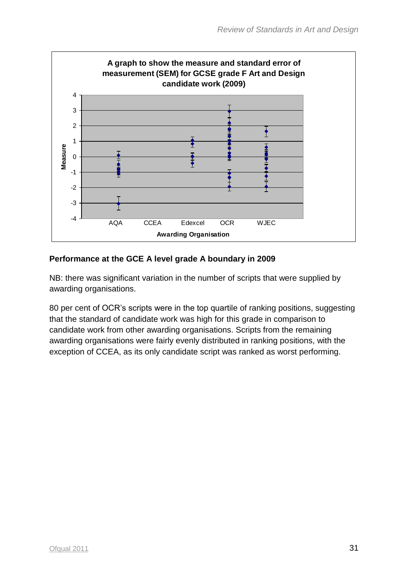

#### **Performance at the GCE A level grade A boundary in 2009**

NB: there was significant variation in the number of scripts that were supplied by awarding organisations.

80 per cent of OCR's scripts were in the top quartile of ranking positions, suggesting that the standard of candidate work was high for this grade in comparison to candidate work from other awarding organisations. Scripts from the remaining awarding organisations were fairly evenly distributed in ranking positions, with the exception of CCEA, as its only candidate script was ranked as worst performing.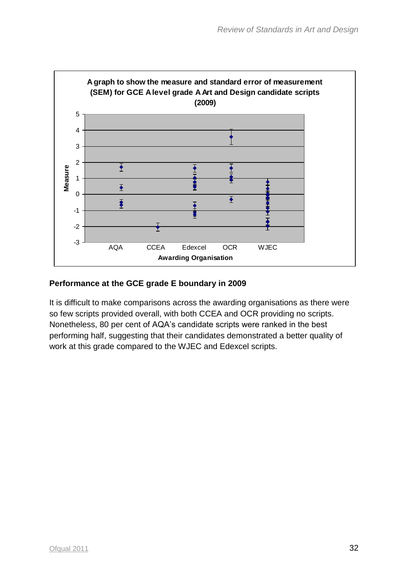

#### **Performance at the GCE grade E boundary in 2009**

It is difficult to make comparisons across the awarding organisations as there were so few scripts provided overall, with both CCEA and OCR providing no scripts. Nonetheless, 80 per cent of AQA's candidate scripts were ranked in the best performing half, suggesting that their candidates demonstrated a better quality of work at this grade compared to the WJEC and Edexcel scripts.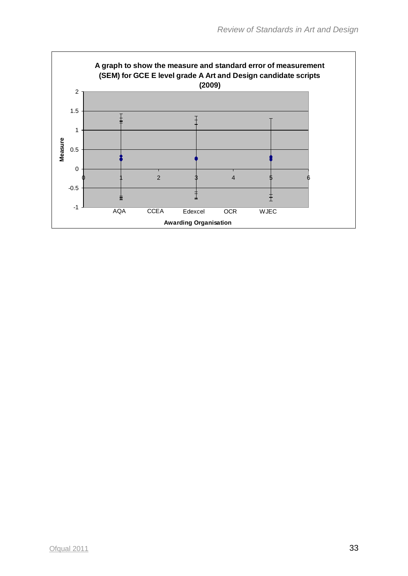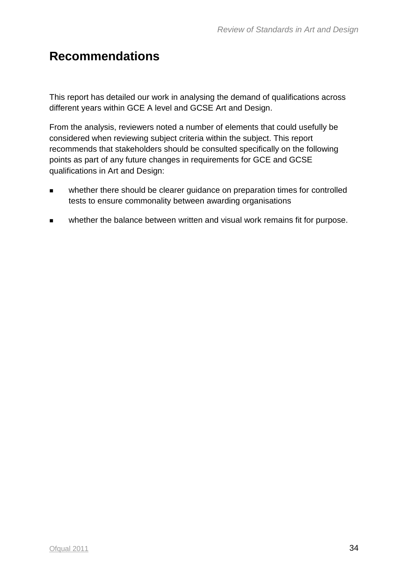## **Recommendations**

This report has detailed our work in analysing the demand of qualifications across different years within GCE A level and GCSE Art and Design.

From the analysis, reviewers noted a number of elements that could usefully be considered when reviewing subject criteria within the subject. This report recommends that stakeholders should be consulted specifically on the following points as part of any future changes in requirements for GCE and GCSE qualifications in Art and Design:

- whether there should be clearer guidance on preparation times for controlled tests to ensure commonality between awarding organisations
- **Now the the balance between written and visual work remains fit for purpose.**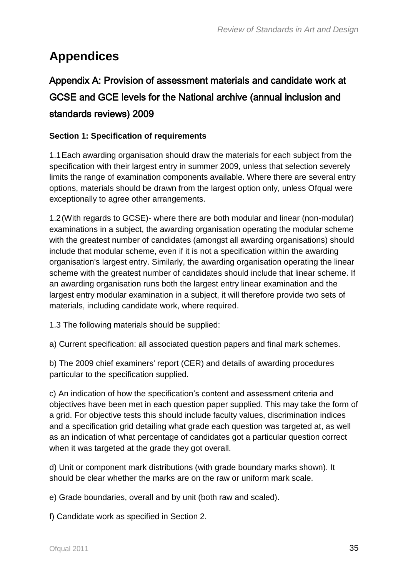## <span id="page-34-0"></span>**Appendices**

## <span id="page-34-1"></span>Appendix A: Provision of assessment materials and candidate work at GCSE and GCE levels for the National archive (annual inclusion and standards reviews) 2009

#### **Section 1: Specification of requirements**

1.1Each awarding organisation should draw the materials for each subject from the specification with their largest entry in summer 2009, unless that selection severely limits the range of examination components available. Where there are several entry options, materials should be drawn from the largest option only, unless Ofqual were exceptionally to agree other arrangements.

1.2(With regards to GCSE)- where there are both modular and linear (non-modular) examinations in a subject, the awarding organisation operating the modular scheme with the greatest number of candidates (amongst all awarding organisations) should include that modular scheme, even if it is not a specification within the awarding organisation's largest entry. Similarly, the awarding organisation operating the linear scheme with the greatest number of candidates should include that linear scheme. If an awarding organisation runs both the largest entry linear examination and the largest entry modular examination in a subject, it will therefore provide two sets of materials, including candidate work, where required.

1.3 The following materials should be supplied:

a) Current specification: all associated question papers and final mark schemes.

b) The 2009 chief examiners' report (CER) and details of awarding procedures particular to the specification supplied.

c) An indication of how the specification's content and assessment criteria and objectives have been met in each question paper supplied. This may take the form of a grid. For objective tests this should include faculty values, discrimination indices and a specification grid detailing what grade each question was targeted at, as well as an indication of what percentage of candidates got a particular question correct when it was targeted at the grade they got overall.

d) Unit or component mark distributions (with grade boundary marks shown). It should be clear whether the marks are on the raw or uniform mark scale.

e) Grade boundaries, overall and by unit (both raw and scaled).

f) Candidate work as specified in Section 2.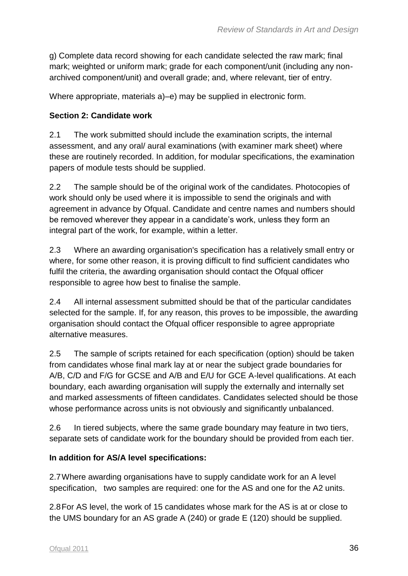g) Complete data record showing for each candidate selected the raw mark; final mark; weighted or uniform mark; grade for each component/unit (including any nonarchived component/unit) and overall grade; and, where relevant, tier of entry.

Where appropriate, materials a)–e) may be supplied in electronic form.

#### **Section 2: Candidate work**

2.1 The work submitted should include the examination scripts, the internal assessment, and any oral/ aural examinations (with examiner mark sheet) where these are routinely recorded. In addition, for modular specifications, the examination papers of module tests should be supplied.

2.2 The sample should be of the original work of the candidates. Photocopies of work should only be used where it is impossible to send the originals and with agreement in advance by Ofqual. Candidate and centre names and numbers should be removed wherever they appear in a candidate's work, unless they form an integral part of the work, for example, within a letter*.* 

2.3 Where an awarding organisation's specification has a relatively small entry or where, for some other reason, it is proving difficult to find sufficient candidates who fulfil the criteria, the awarding organisation should contact the Ofqual officer responsible to agree how best to finalise the sample.

2.4 All internal assessment submitted should be that of the particular candidates selected for the sample. If, for any reason, this proves to be impossible, the awarding organisation should contact the Ofqual officer responsible to agree appropriate alternative measures.

2.5 The sample of scripts retained for each specification (option) should be taken from candidates whose final mark lay at or near the subject grade boundaries for A/B, C/D and F/G for GCSE and A/B and E/U for GCE A-level qualifications. At each boundary, each awarding organisation will supply the externally and internally set and marked assessments of fifteen candidates. Candidates selected should be those whose performance across units is not obviously and significantly unbalanced.

2.6 In tiered subjects, where the same grade boundary may feature in two tiers, separate sets of candidate work for the boundary should be provided from each tier.

#### **In addition for AS/A level specifications:**

2.7Where awarding organisations have to supply candidate work for an A level specification, two samples are required: one for the AS and one for the A2 units.

2.8For AS level, the work of 15 candidates whose mark for the AS is at or close to the UMS boundary for an AS grade A (240) or grade E (120) should be supplied.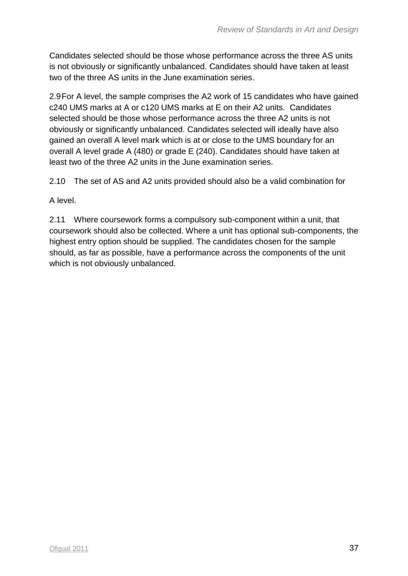Candidates selected should be those whose performance across the three AS units is not obviously or significantly unbalanced. Candidates should have taken at least two of the three AS units in the June examination series.

2.9For A level, the sample comprises the A2 work of 15 candidates who have gained c240 UMS marks at A or c120 UMS marks at E on their A2 units. Candidates selected should be those whose performance across the three A2 units is not obviously or significantly unbalanced. Candidates selected will ideally have also gained an overall A level mark which is at or close to the UMS boundary for an overall A level grade A (480) or grade E (240). Candidates should have taken at least two of the three A2 units in the June examination series.

2.10 The set of AS and A2 units provided should also be a valid combination for

A level.

2.11 Where coursework forms a compulsory sub-component within a unit, that coursework should also be collected. Where a unit has optional sub-components, the highest entry option should be supplied. The candidates chosen for the sample should, as far as possible, have a performance across the components of the unit which is not obviously unbalanced.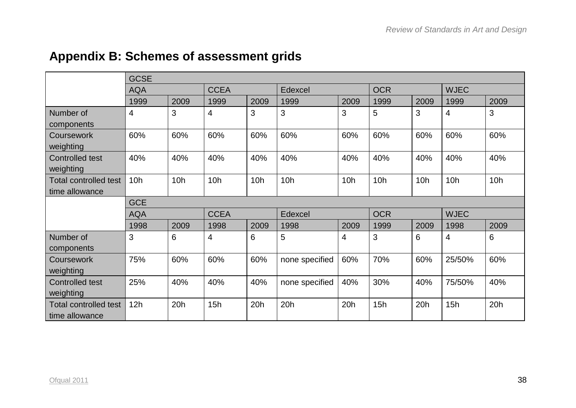# **Appendix B: Schemes of assessment grids**

|                                                | <b>GCSE</b> |      |             |                 |                 |                |            |      |                |      |
|------------------------------------------------|-------------|------|-------------|-----------------|-----------------|----------------|------------|------|----------------|------|
|                                                | <b>AQA</b>  |      | <b>CCEA</b> |                 | Edexcel         |                | <b>OCR</b> |      | <b>WJEC</b>    |      |
|                                                | 1999        | 2009 | 1999        | 2009            | 1999            | 2009           | 1999       | 2009 | 1999           | 2009 |
| Number of<br>components                        | 4           | 3    | 4           | 3               | 3               | 3              | 5          | 3    | $\overline{4}$ | 3    |
| <b>Coursework</b><br>weighting                 | 60%         | 60%  | 60%         | 60%             | 60%             | 60%            | 60%        | 60%  | 60%            | 60%  |
| Controlled test<br>weighting                   | 40%         | 40%  | 40%         | 40%             | 40%             | 40%            | 40%        | 40%  | 40%            | 40%  |
| <b>Total controlled test</b><br>time allowance | 10h         | 10h  | 10h         | 10 <sub>h</sub> | 10 <sub>h</sub> | 10h            | 10h        | 10h  | 10h            | 10h  |
|                                                | <b>GCE</b>  |      |             |                 |                 |                |            |      |                |      |
|                                                | <b>AQA</b>  |      | <b>CCEA</b> |                 | Edexcel         |                | <b>OCR</b> |      | <b>WJEC</b>    |      |
|                                                | 1998        | 2009 | 1998        | 2009            | 1998            | 2009           | 1999       | 2009 | 1998           | 2009 |
| Number of<br>components                        | 3           | 6    | 4           | 6               | 5               | $\overline{4}$ | 3          | 6    | $\overline{4}$ | 6    |
| Coursework<br>weighting                        | 75%         | 60%  | 60%         | 60%             | none specified  | 60%            | 70%        | 60%  | 25/50%         | 60%  |
| <b>Controlled test</b><br>weighting            | 25%         | 40%  | 40%         | 40%             | none specified  | 40%            | 30%        | 40%  | 75/50%         | 40%  |
| <b>Total controlled test</b><br>time allowance | 12h         | 20h  | 15h         | 20h             | 20h             | 20h            | 15h        | 20h  | 15h            | 20h  |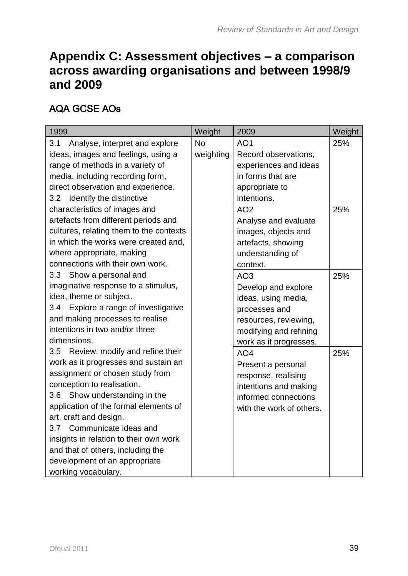## **Appendix C: Assessment objectives – a comparison across awarding organisations and between 1998/9 and 2009**

#### AQA GCSE AOs

| 1999                                       | Weight    | 2009                     | Weight |
|--------------------------------------------|-----------|--------------------------|--------|
| 3.1<br>Analyse, interpret and explore      | <b>No</b> | AO <sub>1</sub>          | 25%    |
| ideas, images and feelings, using a        | weighting | Record observations,     |        |
| range of methods in a variety of           |           | experiences and ideas    |        |
| media, including recording form,           |           | in forms that are        |        |
| direct observation and experience.         |           | appropriate to           |        |
| 3.2 Identify the distinctive               |           | intentions.              |        |
| characteristics of images and              |           | AO <sub>2</sub>          | 25%    |
| artefacts from different periods and       |           | Analyse and evaluate     |        |
| cultures, relating them to the contexts    |           | images, objects and      |        |
| in which the works were created and,       |           | artefacts, showing       |        |
| where appropriate, making                  |           | understanding of         |        |
| connections with their own work.           |           | context.                 |        |
| 3.3 Show a personal and                    |           | AO <sub>3</sub>          | 25%    |
| imaginative response to a stimulus,        |           | Develop and explore      |        |
| idea, theme or subject.                    |           | ideas, using media,      |        |
| Explore a range of investigative<br>3.4    |           | processes and            |        |
| and making processes to realise            |           | resources, reviewing,    |        |
| intentions in two and/or three             |           | modifying and refining   |        |
| dimensions.                                |           | work as it progresses.   |        |
| Review, modify and refine their<br>$3.5\,$ |           | AO <sub>4</sub>          | 25%    |
| work as it progresses and sustain an       |           | Present a personal       |        |
| assignment or chosen study from            |           | response, realising      |        |
| conception to realisation.                 |           | intentions and making    |        |
| 3.6 Show understanding in the              |           | informed connections     |        |
| application of the formal elements of      |           | with the work of others. |        |
| art, craft and design.                     |           |                          |        |
| 3.7 Communicate ideas and                  |           |                          |        |
| insights in relation to their own work     |           |                          |        |
| and that of others, including the          |           |                          |        |
| development of an appropriate              |           |                          |        |
| working vocabulary.                        |           |                          |        |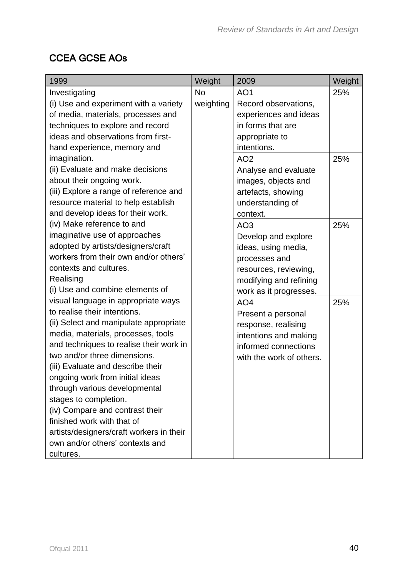#### CCEA GCSE AOs

| 1999                                     | Weight    | 2009                     | Weight |
|------------------------------------------|-----------|--------------------------|--------|
| Investigating                            | <b>No</b> | AO <sub>1</sub>          | 25%    |
| (i) Use and experiment with a variety    | weighting | Record observations,     |        |
| of media, materials, processes and       |           | experiences and ideas    |        |
| techniques to explore and record         |           | in forms that are        |        |
| ideas and observations from first-       |           | appropriate to           |        |
| hand experience, memory and              |           | intentions.              |        |
| imagination.                             |           | AO <sub>2</sub>          | 25%    |
| (ii) Evaluate and make decisions         |           | Analyse and evaluate     |        |
| about their ongoing work.                |           | images, objects and      |        |
| (iii) Explore a range of reference and   |           | artefacts, showing       |        |
| resource material to help establish      |           | understanding of         |        |
| and develop ideas for their work.        |           | context.                 |        |
| (iv) Make reference to and               |           | AO <sub>3</sub>          | 25%    |
| imaginative use of approaches            |           | Develop and explore      |        |
| adopted by artists/designers/craft       |           | ideas, using media,      |        |
| workers from their own and/or others'    |           | processes and            |        |
| contexts and cultures.                   |           | resources, reviewing,    |        |
| Realising                                |           | modifying and refining   |        |
| (i) Use and combine elements of          |           | work as it progresses.   |        |
| visual language in appropriate ways      |           | AO <sub>4</sub>          | 25%    |
| to realise their intentions.             |           | Present a personal       |        |
| (ii) Select and manipulate appropriate   |           | response, realising      |        |
| media, materials, processes, tools       |           | intentions and making    |        |
| and techniques to realise their work in  |           | informed connections     |        |
| two and/or three dimensions.             |           | with the work of others. |        |
| (iii) Evaluate and describe their        |           |                          |        |
| ongoing work from initial ideas          |           |                          |        |
| through various developmental            |           |                          |        |
| stages to completion.                    |           |                          |        |
| (iv) Compare and contrast their          |           |                          |        |
| finished work with that of               |           |                          |        |
| artists/designers/craft workers in their |           |                          |        |
| own and/or others' contexts and          |           |                          |        |
| cultures.                                |           |                          |        |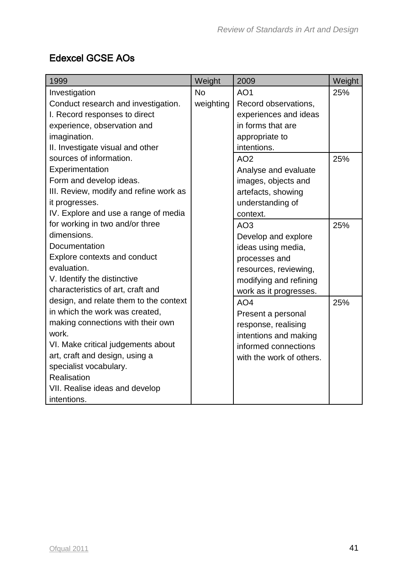#### Edexcel GCSE AOs

| 1999                                   | Weight    | 2009                     | Weight |
|----------------------------------------|-----------|--------------------------|--------|
| Investigation                          | <b>No</b> | AO <sub>1</sub>          | 25%    |
| Conduct research and investigation.    | weighting | Record observations,     |        |
| I. Record responses to direct          |           | experiences and ideas    |        |
| experience, observation and            |           | in forms that are        |        |
| imagination.                           |           | appropriate to           |        |
| II. Investigate visual and other       |           | intentions.              |        |
| sources of information.                |           | AO <sub>2</sub>          | 25%    |
| Experimentation                        |           | Analyse and evaluate     |        |
| Form and develop ideas.                |           | images, objects and      |        |
| III. Review, modify and refine work as |           | artefacts, showing       |        |
| it progresses.                         |           | understanding of         |        |
| IV. Explore and use a range of media   |           | context.                 |        |
| for working in two and/or three        |           | AO <sub>3</sub>          | 25%    |
| dimensions.                            |           | Develop and explore      |        |
| Documentation                          |           | ideas using media,       |        |
| Explore contexts and conduct           |           | processes and            |        |
| evaluation.                            |           | resources, reviewing,    |        |
| V. Identify the distinctive            |           | modifying and refining   |        |
| characteristics of art, craft and      |           | work as it progresses.   |        |
| design, and relate them to the context |           | AO <sub>4</sub>          | 25%    |
| in which the work was created,         |           | Present a personal       |        |
| making connections with their own      |           | response, realising      |        |
| work.                                  |           | intentions and making    |        |
| VI. Make critical judgements about     |           | informed connections     |        |
| art, craft and design, using a         |           | with the work of others. |        |
| specialist vocabulary.                 |           |                          |        |
| Realisation                            |           |                          |        |
| VII. Realise ideas and develop         |           |                          |        |
| intentions.                            |           |                          |        |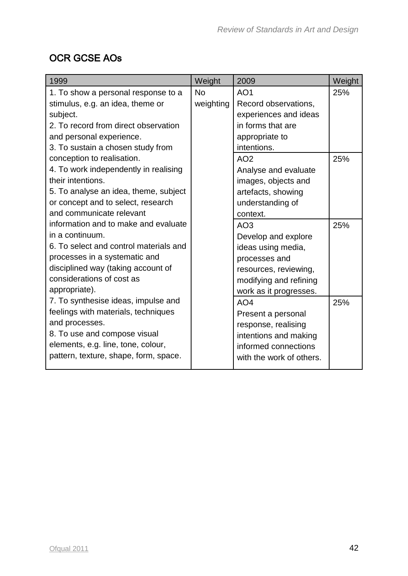## OCR GCSE AOs

| 1999                                   | Weight    | 2009                     | Weight |
|----------------------------------------|-----------|--------------------------|--------|
| 1. To show a personal response to a    | <b>No</b> | AO <sub>1</sub>          | 25%    |
| stimulus, e.g. an idea, theme or       | weighting | Record observations,     |        |
| subject.                               |           | experiences and ideas    |        |
| 2. To record from direct observation   |           | in forms that are        |        |
| and personal experience.               |           | appropriate to           |        |
| 3. To sustain a chosen study from      |           | intentions.              |        |
| conception to realisation.             |           | AO <sub>2</sub>          | 25%    |
| 4. To work independently in realising  |           | Analyse and evaluate     |        |
| their intentions.                      |           | images, objects and      |        |
| 5. To analyse an idea, theme, subject  |           | artefacts, showing       |        |
| or concept and to select, research     |           | understanding of         |        |
| and communicate relevant               |           | context.                 |        |
| information and to make and evaluate   |           | AO <sub>3</sub>          | 25%    |
| in a continuum.                        |           | Develop and explore      |        |
| 6. To select and control materials and |           | ideas using media,       |        |
| processes in a systematic and          |           | processes and            |        |
| disciplined way (taking account of     |           | resources, reviewing,    |        |
| considerations of cost as              |           | modifying and refining   |        |
| appropriate).                          |           | work as it progresses.   |        |
| 7. To synthesise ideas, impulse and    |           | AO <sub>4</sub>          | 25%    |
| feelings with materials, techniques    |           | Present a personal       |        |
| and processes.                         |           | response, realising      |        |
| 8. To use and compose visual           |           | intentions and making    |        |
| elements, e.g. line, tone, colour,     |           | informed connections     |        |
| pattern, texture, shape, form, space.  |           | with the work of others. |        |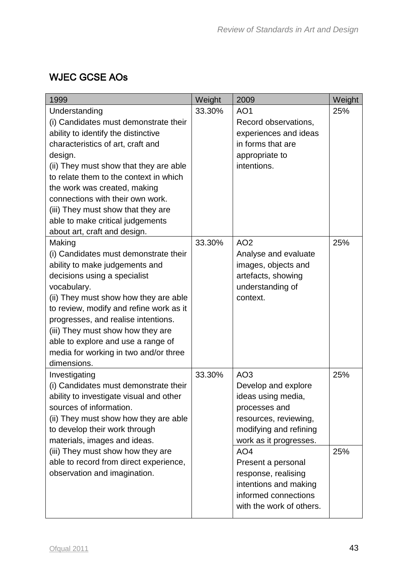## WJEC GCSE AOs

| 1999                                                                                                                                                                                                                                                                                                                                                                                                            | Weight | 2009                                                                                                                                                                          | Weight     |
|-----------------------------------------------------------------------------------------------------------------------------------------------------------------------------------------------------------------------------------------------------------------------------------------------------------------------------------------------------------------------------------------------------------------|--------|-------------------------------------------------------------------------------------------------------------------------------------------------------------------------------|------------|
| Understanding<br>(i) Candidates must demonstrate their<br>ability to identify the distinctive<br>characteristics of art, craft and<br>design.<br>(ii) They must show that they are able<br>to relate them to the context in which<br>the work was created, making<br>connections with their own work.<br>(iii) They must show that they are<br>able to make critical judgements<br>about art, craft and design. | 33.30% | AO <sub>1</sub><br>Record observations,<br>experiences and ideas<br>in forms that are<br>appropriate to<br>intentions.                                                        | 25%        |
| Making<br>(i) Candidates must demonstrate their<br>ability to make judgements and<br>decisions using a specialist<br>vocabulary.<br>(ii) They must show how they are able<br>to review, modify and refine work as it<br>progresses, and realise intentions.<br>(iii) They must show how they are<br>able to explore and use a range of<br>media for working in two and/or three<br>dimensions.                  | 33.30% | AO <sub>2</sub><br>Analyse and evaluate<br>images, objects and<br>artefacts, showing<br>understanding of<br>context.                                                          | 25%        |
| Investigating<br>(i) Candidates must demonstrate their<br>ability to investigate visual and other<br>sources of information.<br>(ii) They must show how they are able<br>to develop their work through<br>materials, images and ideas.<br>(iii) They must show how they are                                                                                                                                     | 33.30% | AO <sub>3</sub><br>Develop and explore<br>ideas using media,<br>processes and<br>resources, reviewing,<br>modifying and refining<br>work as it progresses.<br>AO <sub>4</sub> | 25%<br>25% |
| able to record from direct experience,<br>observation and imagination.                                                                                                                                                                                                                                                                                                                                          |        | Present a personal<br>response, realising<br>intentions and making<br>informed connections<br>with the work of others.                                                        |            |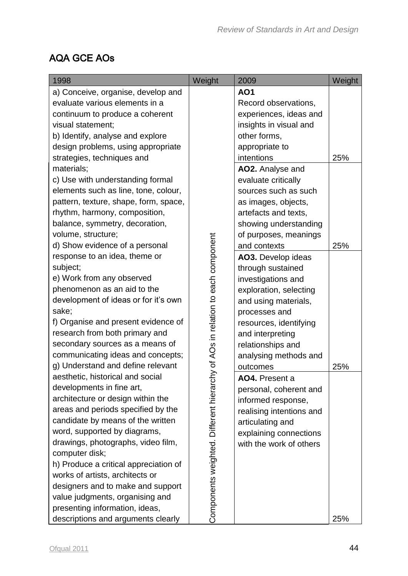## AQA GCE AOs

| 1998                                  | Weight                                  | 2009                     | Weight |
|---------------------------------------|-----------------------------------------|--------------------------|--------|
| a) Conceive, organise, develop and    |                                         | <b>AO1</b>               |        |
| evaluate various elements in a        |                                         | Record observations,     |        |
| continuum to produce a coherent       |                                         | experiences, ideas and   |        |
| visual statement;                     |                                         | insights in visual and   |        |
| b) Identify, analyse and explore      |                                         | other forms,             |        |
| design problems, using appropriate    |                                         | appropriate to           |        |
| strategies, techniques and            |                                         | intentions               | 25%    |
| materials;                            |                                         | AO2. Analyse and         |        |
| c) Use with understanding formal      |                                         | evaluate critically      |        |
| elements such as line, tone, colour,  |                                         | sources such as such     |        |
| pattern, texture, shape, form, space, |                                         | as images, objects,      |        |
| rhythm, harmony, composition,         |                                         | artefacts and texts,     |        |
| balance, symmetry, decoration,        |                                         | showing understanding    |        |
| volume, structure;                    |                                         | of purposes, meanings    |        |
| d) Show evidence of a personal        |                                         | and contexts             | 25%    |
| response to an idea, theme or         | hy of AOs in relation to each component | AO3. Develop ideas       |        |
| subject;                              |                                         | through sustained        |        |
| e) Work from any observed             |                                         | investigations and       |        |
| phenomenon as an aid to the           |                                         | exploration, selecting   |        |
| development of ideas or for it's own  |                                         | and using materials,     |        |
| sake;                                 |                                         | processes and            |        |
| f) Organise and present evidence of   |                                         | resources, identifying   |        |
| research from both primary and        |                                         | and interpreting         |        |
| secondary sources as a means of       |                                         | relationships and        |        |
| communicating ideas and concepts;     |                                         | analysing methods and    |        |
| g) Understand and define relevant     |                                         | outcomes                 | 25%    |
| aesthetic, historical and social      |                                         | AO4. Present a           |        |
| developments in fine art,             |                                         | personal, coherent and   |        |
| architecture or design within the     |                                         | informed response,       |        |
| areas and periods specified by the    |                                         | realising intentions and |        |
| candidate by means of the written     |                                         | articulating and         |        |
| word, supported by diagrams,          |                                         | explaining connections   |        |
| drawings, photographs, video film,    |                                         | with the work of others  |        |
| computer disk;                        |                                         |                          |        |
| h) Produce a critical appreciation of |                                         |                          |        |
| works of artists, architects or       |                                         |                          |        |
| designers and to make and support     | Components weighted. Different hierarc  |                          |        |
| value judgments, organising and       |                                         |                          |        |
| presenting information, ideas,        |                                         |                          |        |
| descriptions and arguments clearly    |                                         |                          | 25%    |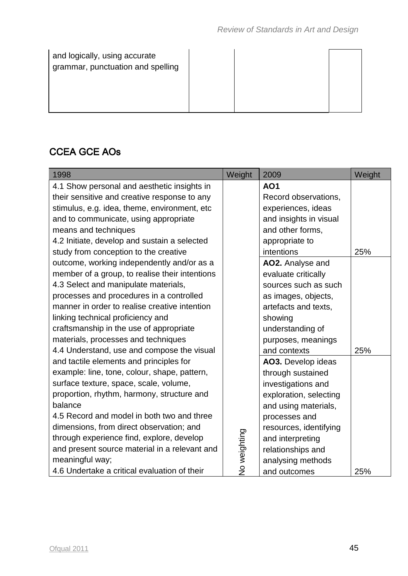and logically, using accurate grammar, punctuation and spelling

## CCEA GCE AOs

| 1998                                           | Weight       | 2009                   | Weight |
|------------------------------------------------|--------------|------------------------|--------|
| 4.1 Show personal and aesthetic insights in    |              | <b>AO1</b>             |        |
| their sensitive and creative response to any   |              | Record observations,   |        |
| stimulus, e.g. idea, theme, environment, etc   |              | experiences, ideas     |        |
| and to communicate, using appropriate          |              | and insights in visual |        |
| means and techniques                           |              | and other forms,       |        |
| 4.2 Initiate, develop and sustain a selected   |              | appropriate to         |        |
| study from conception to the creative          |              | intentions             | 25%    |
| outcome, working independently and/or as a     |              | AO2. Analyse and       |        |
| member of a group, to realise their intentions |              | evaluate critically    |        |
| 4.3 Select and manipulate materials,           |              | sources such as such   |        |
| processes and procedures in a controlled       |              | as images, objects,    |        |
| manner in order to realise creative intention  |              | artefacts and texts,   |        |
| linking technical proficiency and              |              | showing                |        |
| craftsmanship in the use of appropriate        |              | understanding of       |        |
| materials, processes and techniques            |              | purposes, meanings     |        |
| 4.4 Understand, use and compose the visual     |              | and contexts           | 25%    |
| and tactile elements and principles for        |              | AO3. Develop ideas     |        |
| example: line, tone, colour, shape, pattern,   |              | through sustained      |        |
| surface texture, space, scale, volume,         |              | investigations and     |        |
| proportion, rhythm, harmony, structure and     |              | exploration, selecting |        |
| balance                                        |              | and using materials,   |        |
| 4.5 Record and model in both two and three     |              | processes and          |        |
| dimensions, from direct observation; and       |              | resources, identifying |        |
| through experience find, explore, develop      |              | and interpreting       |        |
| and present source material in a relevant and  |              | relationships and      |        |
| meaningful way;                                | No weighting | analysing methods      |        |
| 4.6 Undertake a critical evaluation of their   |              | and outcomes           | 25%    |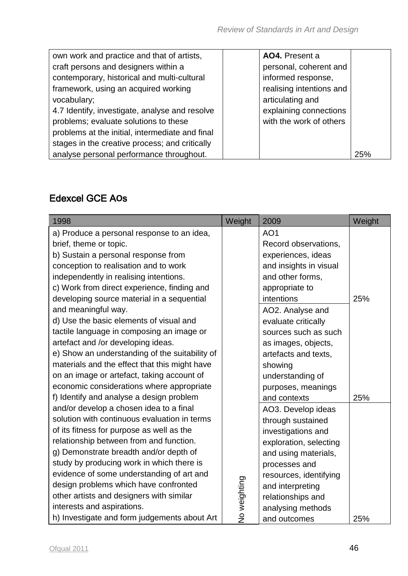| own work and practice and that of artists,      | AO4. Present a           |     |
|-------------------------------------------------|--------------------------|-----|
| craft persons and designers within a            | personal, coherent and   |     |
| contemporary, historical and multi-cultural     | informed response,       |     |
| framework, using an acquired working            | realising intentions and |     |
| vocabulary;                                     | articulating and         |     |
| 4.7 Identify, investigate, analyse and resolve  | explaining connections   |     |
| problems; evaluate solutions to these           | with the work of others  |     |
| problems at the initial, intermediate and final |                          |     |
| stages in the creative process; and critically  |                          |     |
| analyse personal performance throughout.        |                          | 25% |

#### Edexcel GCE A**O**s

| 1998                                           | Weight       | 2009                   | Weight |
|------------------------------------------------|--------------|------------------------|--------|
| a) Produce a personal response to an idea,     |              | AO <sub>1</sub>        |        |
| brief, theme or topic.                         |              | Record observations,   |        |
| b) Sustain a personal response from            |              | experiences, ideas     |        |
| conception to realisation and to work          |              | and insights in visual |        |
| independently in realising intentions.         |              | and other forms,       |        |
| c) Work from direct experience, finding and    |              | appropriate to         |        |
| developing source material in a sequential     |              | intentions             | 25%    |
| and meaningful way.                            |              | AO2. Analyse and       |        |
| d) Use the basic elements of visual and        |              | evaluate critically    |        |
| tactile language in composing an image or      |              | sources such as such   |        |
| artefact and /or developing ideas.             |              | as images, objects,    |        |
| e) Show an understanding of the suitability of |              | artefacts and texts,   |        |
| materials and the effect that this might have  |              | showing                |        |
| on an image or artefact, taking account of     |              | understanding of       |        |
| economic considerations where appropriate      |              | purposes, meanings     |        |
| f) Identify and analyse a design problem       |              | and contexts           | 25%    |
| and/or develop a chosen idea to a final        |              | AO3. Develop ideas     |        |
| solution with continuous evaluation in terms   |              | through sustained      |        |
| of its fitness for purpose as well as the      |              | investigations and     |        |
| relationship between from and function.        |              | exploration, selecting |        |
| g) Demonstrate breadth and/or depth of         |              | and using materials,   |        |
| study by producing work in which there is      |              | processes and          |        |
| evidence of some understanding of art and      |              | resources, identifying |        |
| design problems which have confronted          |              | and interpreting       |        |
| other artists and designers with similar       |              | relationships and      |        |
| interests and aspirations.                     | No weighting | analysing methods      |        |
| h) Investigate and form judgements about Art   |              | and outcomes           | 25%    |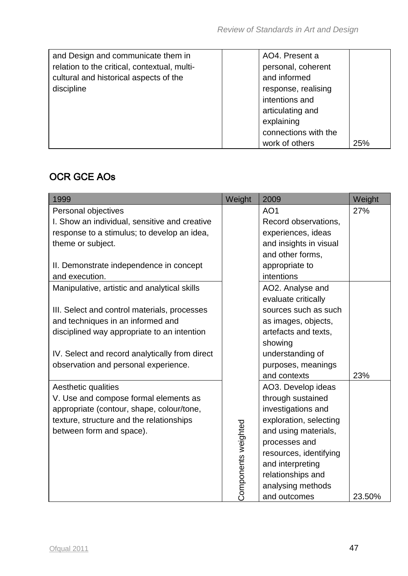| and Design and communicate them in           | AO4. Present a        |
|----------------------------------------------|-----------------------|
| relation to the critical, contextual, multi- | personal, coherent    |
| cultural and historical aspects of the       | and informed          |
| discipline                                   | response, realising   |
|                                              | intentions and        |
|                                              | articulating and      |
|                                              | explaining            |
|                                              | connections with the  |
|                                              | work of others<br>25% |

## OCR GCE AOs

| 1999                                           | Weight              | 2009                   | Weight |
|------------------------------------------------|---------------------|------------------------|--------|
| Personal objectives                            |                     | AO <sub>1</sub>        | 27%    |
| I. Show an individual, sensitive and creative  |                     | Record observations,   |        |
| response to a stimulus; to develop an idea,    |                     | experiences, ideas     |        |
| theme or subject.                              |                     | and insights in visual |        |
|                                                |                     | and other forms,       |        |
| II. Demonstrate independence in concept        |                     | appropriate to         |        |
| and execution.                                 |                     | intentions             |        |
| Manipulative, artistic and analytical skills   |                     | AO2. Analyse and       |        |
|                                                |                     | evaluate critically    |        |
| III. Select and control materials, processes   |                     | sources such as such   |        |
| and techniques in an informed and              |                     | as images, objects,    |        |
| disciplined way appropriate to an intention    |                     | artefacts and texts,   |        |
|                                                |                     | showing                |        |
| IV. Select and record analytically from direct |                     | understanding of       |        |
| observation and personal experience.           |                     | purposes, meanings     |        |
|                                                |                     | and contexts           | 23%    |
| Aesthetic qualities                            |                     | AO3. Develop ideas     |        |
| V. Use and compose formal elements as          |                     | through sustained      |        |
| appropriate (contour, shape, colour/tone,      |                     | investigations and     |        |
| texture, structure and the relationships       |                     | exploration, selecting |        |
| between form and space).                       |                     | and using materials,   |        |
|                                                |                     | processes and          |        |
|                                                |                     | resources, identifying |        |
|                                                | Components weighted | and interpreting       |        |
|                                                |                     | relationships and      |        |
|                                                |                     | analysing methods      |        |
|                                                |                     | and outcomes           | 23.50% |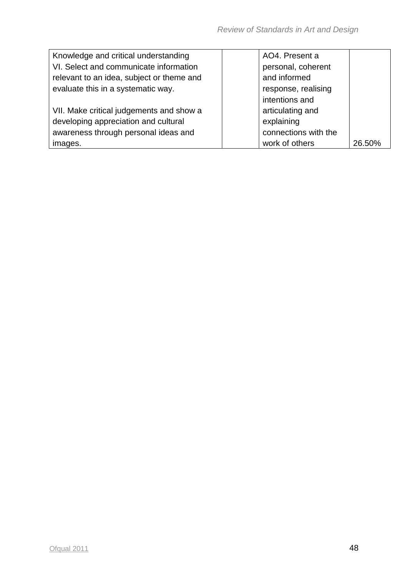| Knowledge and critical understanding      | AO4. Present a       |        |
|-------------------------------------------|----------------------|--------|
| VI. Select and communicate information    | personal, coherent   |        |
| relevant to an idea, subject or theme and | and informed         |        |
| evaluate this in a systematic way.        | response, realising  |        |
|                                           | intentions and       |        |
| VII. Make critical judgements and show a  | articulating and     |        |
| developing appreciation and cultural      | explaining           |        |
| awareness through personal ideas and      | connections with the |        |
| images.                                   | work of others       | 26.50% |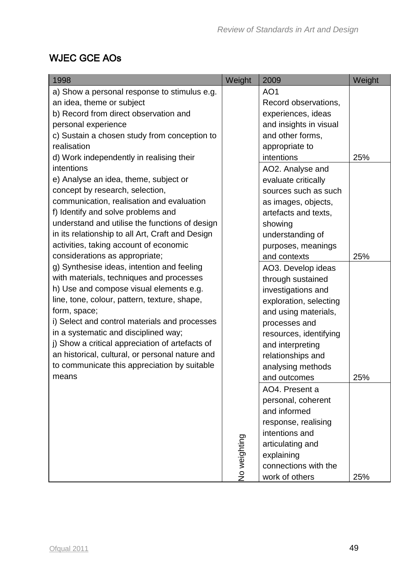## WJEC GCE AOs

| 1998                                             | Weight       | 2009                   | Weight |
|--------------------------------------------------|--------------|------------------------|--------|
| a) Show a personal response to stimulus e.g.     |              | AO <sub>1</sub>        |        |
| an idea, theme or subject                        |              | Record observations,   |        |
| b) Record from direct observation and            |              | experiences, ideas     |        |
| personal experience                              |              | and insights in visual |        |
| c) Sustain a chosen study from conception to     |              | and other forms,       |        |
| realisation                                      |              | appropriate to         |        |
| d) Work independently in realising their         |              | intentions             | 25%    |
| intentions                                       |              | AO2. Analyse and       |        |
| e) Analyse an idea, theme, subject or            |              | evaluate critically    |        |
| concept by research, selection,                  |              | sources such as such   |        |
| communication, realisation and evaluation        |              | as images, objects,    |        |
| f) Identify and solve problems and               |              | artefacts and texts,   |        |
| understand and utilise the functions of design   |              | showing                |        |
| in its relationship to all Art, Craft and Design |              | understanding of       |        |
| activities, taking account of economic           |              | purposes, meanings     |        |
| considerations as appropriate;                   |              | and contexts           | 25%    |
| g) Synthesise ideas, intention and feeling       |              | AO3. Develop ideas     |        |
| with materials, techniques and processes         |              | through sustained      |        |
| h) Use and compose visual elements e.g.          |              | investigations and     |        |
| line, tone, colour, pattern, texture, shape,     |              | exploration, selecting |        |
| form, space;                                     |              | and using materials,   |        |
| i) Select and control materials and processes    |              | processes and          |        |
| in a systematic and disciplined way;             |              | resources, identifying |        |
| j) Show a critical appreciation of artefacts of  |              | and interpreting       |        |
| an historical, cultural, or personal nature and  |              | relationships and      |        |
| to communicate this appreciation by suitable     |              | analysing methods      |        |
| means                                            |              | and outcomes           | 25%    |
|                                                  |              | AO4. Present a         |        |
|                                                  |              | personal, coherent     |        |
|                                                  |              | and informed           |        |
|                                                  |              | response, realising    |        |
|                                                  |              | intentions and         |        |
|                                                  | No weighting | articulating and       |        |
|                                                  |              | explaining             |        |
|                                                  |              | connections with the   |        |
|                                                  |              | work of others         | 25%    |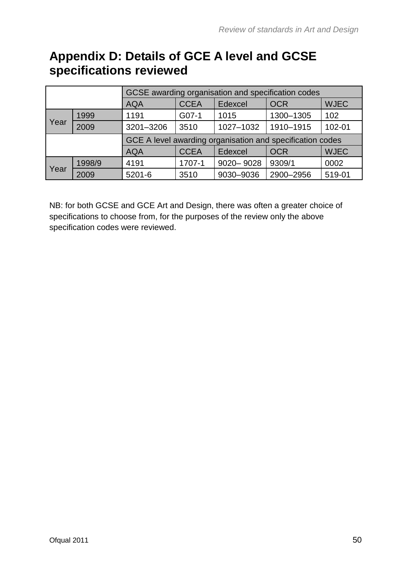# **Appendix D: Details of GCE A level and GCSE specifications reviewed**

|      |                           | GCSE awarding organisation and specification codes        |             |           |            |             |  |  |  |  |
|------|---------------------------|-----------------------------------------------------------|-------------|-----------|------------|-------------|--|--|--|--|
|      |                           | <b>AQA</b>                                                | <b>CCEA</b> | Edexcel   | <b>OCR</b> | <b>WJEC</b> |  |  |  |  |
|      | 1999                      | 1191                                                      | G07-1       | 1015      | 1300-1305  | 102         |  |  |  |  |
| Year | 2009<br>3201-3206<br>3510 |                                                           | 1027-1032   | 1910-1915 | 102-01     |             |  |  |  |  |
|      |                           | GCE A level awarding organisation and specification codes |             |           |            |             |  |  |  |  |
|      |                           | <b>AQA</b>                                                | <b>CCEA</b> | Edexcel   | <b>OCR</b> | <b>WJEC</b> |  |  |  |  |
|      | 1998/9                    | 4191                                                      | 1707-1      | 9020-9028 | 9309/1     | 0002        |  |  |  |  |
| Year | 2009                      | $5201 - 6$                                                | 3510        | 9030-9036 | 2900-2956  | 519-01      |  |  |  |  |

NB: for both GCSE and GCE Art and Design, there was often a greater choice of specifications to choose from, for the purposes of the review only the above specification codes were reviewed.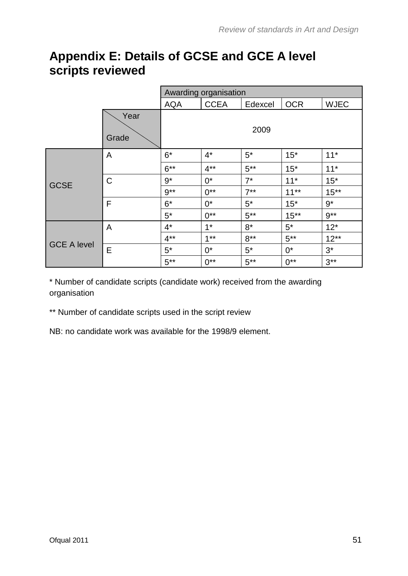# **Appendix E: Details of GCSE and GCE A level scripts reviewed**

|                    |               |            | Awarding organisation |         |            |             |  |  |  |  |
|--------------------|---------------|------------|-----------------------|---------|------------|-------------|--|--|--|--|
|                    |               | <b>AQA</b> | <b>CCEA</b>           | Edexcel | <b>OCR</b> | <b>WJEC</b> |  |  |  |  |
|                    | Year<br>Grade |            |                       | 2009    |            |             |  |  |  |  |
|                    | A             | $6*$       | $4^*$                 | $5^*$   | $15*$      | $11*$       |  |  |  |  |
|                    |               | $6***$     | $4***$                | $5***$  | $15*$      | $11*$       |  |  |  |  |
| <b>GCSE</b>        | $\mathsf{C}$  | $9*$       | $0^*$                 | $7^*$   | $11*$      | $15*$       |  |  |  |  |
|                    |               | $9**$      | $0^{**}$              | $7***$  | $11***$    | $15***$     |  |  |  |  |
|                    | F             | $6*$       | $0^*$                 | $5^*$   | $15*$      | $9*$        |  |  |  |  |
|                    |               | $5^*$      | $0^{**}$              | $5***$  | $15***$    | $9**$       |  |  |  |  |
|                    | A             | $4^*$      | $1*$                  | $8*$    | $5*$       | $12*$       |  |  |  |  |
| <b>GCE A level</b> |               | $4***$     | $1**$                 | $8***$  | $5***$     | $12**$      |  |  |  |  |
|                    | Е             | $5^*$      | $0^*$                 | $5^*$   | $0^*$      | $3^*$       |  |  |  |  |
|                    |               | $5***$     | $0^{**}$              | $5***$  | $0^{**}$   | $3***$      |  |  |  |  |

\* Number of candidate scripts (candidate work) received from the awarding organisation

\*\* Number of candidate scripts used in the script review

NB: no candidate work was available for the 1998/9 element.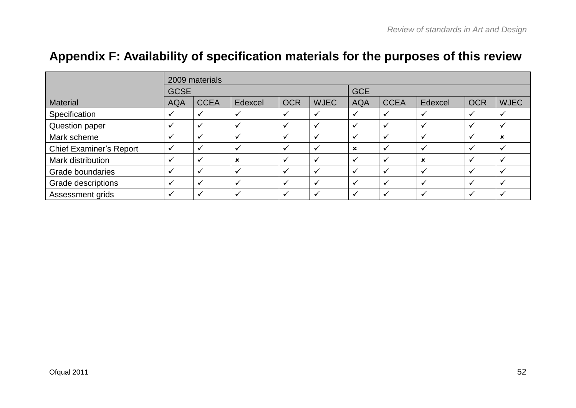|                                | 2009 materials          |              |                           |            |             |                           |                          |                           |              |                         |
|--------------------------------|-------------------------|--------------|---------------------------|------------|-------------|---------------------------|--------------------------|---------------------------|--------------|-------------------------|
|                                |                         | <b>GCSE</b>  |                           |            |             |                           |                          |                           |              |                         |
| <b>Material</b>                | <b>AQA</b>              | <b>CCEA</b>  | Edexcel                   | <b>OCR</b> | <b>WJEC</b> | <b>AQA</b>                | <b>CCEA</b>              | Edexcel                   | <b>OCR</b>   | <b>WJEC</b>             |
| Specification                  | v                       |              |                           |            |             | $\checkmark$              | $\checkmark$             | $\mathbf{v}$              | ✓            | $\checkmark$            |
| Question paper                 | ✓                       | v            |                           | ╰          |             | $\checkmark$              | $\checkmark$             | $\checkmark$              | ✓            | $\checkmark$            |
| Mark scheme                    | $\checkmark$            | $\checkmark$ |                           |            |             | $\checkmark$              | $\checkmark$             | $\checkmark$              | ✓            | $\pmb{\times}$          |
| <b>Chief Examiner's Report</b> | $\checkmark$            | $\checkmark$ | V                         |            |             | $\boldsymbol{\mathsf{x}}$ | $\checkmark$             | $\checkmark$              | ✓            | ✔                       |
| Mark distribution              | $\overline{\mathbf{v}}$ | v            | $\boldsymbol{\mathsf{x}}$ |            |             | $\checkmark$              | $\checkmark$             | $\boldsymbol{\mathsf{x}}$ | $\checkmark$ | $\overline{\mathbf{v}}$ |
| Grade boundaries               | $\checkmark$            | ✔            |                           |            |             | $\checkmark$              | $\checkmark$             | $\checkmark$              | ✓            | $\checkmark$            |
| Grade descriptions             | $\overline{\mathbf{v}}$ | ✓            |                           |            |             | $\checkmark$              | $\checkmark$             | $\checkmark$              | ✓            | $\mathbf v$             |
| Assessment grids               | M                       |              |                           |            |             |                           | $\overline{\phantom{a}}$ |                           | $\checkmark$ | $\overline{\mathbf{v}}$ |

# **Appendix F: Availability of specification materials for the purposes of this review**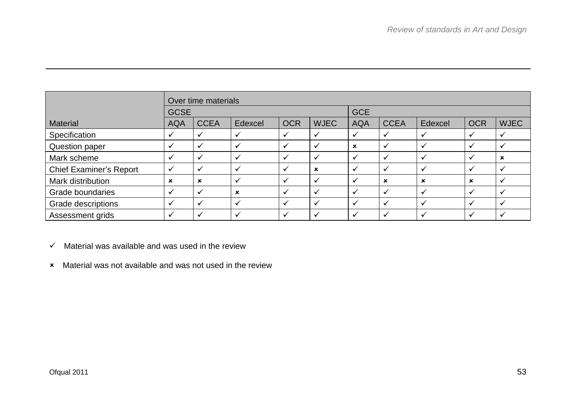|                                |              | Over time materials |             |            |             |             |                           |         |                           |                           |
|--------------------------------|--------------|---------------------|-------------|------------|-------------|-------------|---------------------------|---------|---------------------------|---------------------------|
|                                | <b>GCSE</b>  |                     |             |            | <b>GCE</b>  |             |                           |         |                           |                           |
| <b>Material</b>                | <b>AQA</b>   | <b>CCEA</b>         | Edexcel     | <b>OCR</b> | <b>WJEC</b> | <b>AQA</b>  | <b>CCEA</b>               | Edexcel | <b>OCR</b>                | <b>WJEC</b>               |
| Specification                  |              | ✓                   |             |            |             |             | $\checkmark$              |         | $\checkmark$              | $\checkmark$              |
| Question paper                 |              | ✓                   |             |            |             | $\mathbf x$ | $\checkmark$              |         | $\checkmark$              | $\checkmark$              |
| Mark scheme                    |              | ✓                   |             |            |             |             | ✓                         |         | $\checkmark$              | $\boldsymbol{\mathsf{x}}$ |
| <b>Chief Examiner's Report</b> | $\checkmark$ | ✓                   |             |            | $\mathbf x$ |             | $\mathbf{v}$              |         | $\checkmark$              | $\checkmark$              |
| Mark distribution              | $\mathbf x$  | $\mathbf x$         |             |            |             |             | $\boldsymbol{\mathsf{x}}$ | ×       | $\boldsymbol{\mathsf{x}}$ | $\checkmark$              |
| Grade boundaries               |              | J                   | $\mathbf x$ |            |             |             | v                         |         | $\checkmark$              | $\ddot{\phantom{0}}$      |
| Grade descriptions             |              | $\checkmark$        |             |            |             |             | ✓                         |         | $\checkmark$              | $\checkmark$              |
| Assessment grids               |              |                     |             |            |             |             | v                         |         |                           |                           |

 $\checkmark$  Material was available and was used in the review

Material was not available and was not used in the review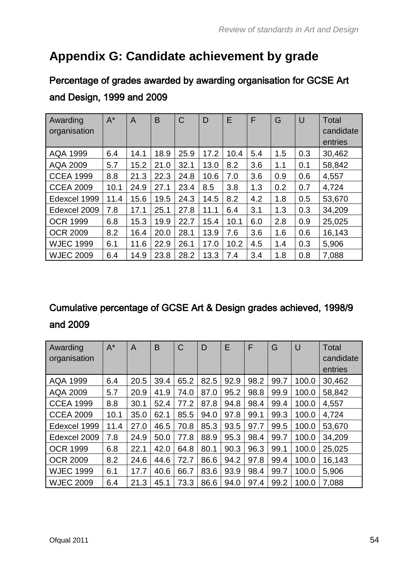# **Appendix G: Candidate achievement by grade**

# Percentage of grades awarded by awarding organisation for GCSE Art and Design, 1999 and 2009

| Awarding<br>organisation | $A^*$ | A    | B    | C    | D    | E    | F   | G   | $\cup$ | Total<br>candidate<br>entries |
|--------------------------|-------|------|------|------|------|------|-----|-----|--------|-------------------------------|
| <b>AQA 1999</b>          | 6.4   | 14.1 | 18.9 | 25.9 | 17.2 | 10.4 | 5.4 | 1.5 | 0.3    | 30,462                        |
| <b>AQA 2009</b>          | 5.7   | 15.2 | 21.0 | 32.1 | 13.0 | 8.2  | 3.6 | 1.1 | 0.1    | 58,842                        |
| <b>CCEA 1999</b>         | 8.8   | 21.3 | 22.3 | 24.8 | 10.6 | 7.0  | 3.6 | 0.9 | 0.6    | 4,557                         |
| <b>CCEA 2009</b>         | 10.1  | 24.9 | 27.1 | 23.4 | 8.5  | 3.8  | 1.3 | 0.2 | 0.7    | 4,724                         |
| Edexcel 1999             | 11.4  | 15.6 | 19.5 | 24.3 | 14.5 | 8.2  | 4.2 | 1.8 | 0.5    | 53,670                        |
| Edexcel 2009             | 7.8   | 17.1 | 25.1 | 27.8 | 11.1 | 6.4  | 3.1 | 1.3 | 0.3    | 34,209                        |
| <b>OCR 1999</b>          | 6.8   | 15.3 | 19.9 | 22.7 | 15.4 | 10.1 | 6.0 | 2.8 | 0.9    | 25,025                        |
| <b>OCR 2009</b>          | 8.2   | 16.4 | 20.0 | 28.1 | 13.9 | 7.6  | 3.6 | 1.6 | 0.6    | 16,143                        |
| <b>WJEC 1999</b>         | 6.1   | 11.6 | 22.9 | 26.1 | 17.0 | 10.2 | 4.5 | 1.4 | 0.3    | 5,906                         |
| <b>WJEC 2009</b>         | 6.4   | 14.9 | 23.8 | 28.2 | 13.3 | 7.4  | 3.4 | 1.8 | 0.8    | 7,088                         |

## Cumulative percentage of GCSE Art & Design grades achieved, 1998/9 and 2009

| Awarding<br>organisation | $A^*$ | A    | B    | C    | D    | E    | F    | G    | $\cup$ | <b>Total</b><br>candidate |
|--------------------------|-------|------|------|------|------|------|------|------|--------|---------------------------|
|                          |       |      |      |      |      |      |      |      |        | entries                   |
| <b>AQA 1999</b>          | 6.4   | 20.5 | 39.4 | 65.2 | 82.5 | 92.9 | 98.2 | 99.7 | 100.0  | 30,462                    |
| <b>AQA 2009</b>          | 5.7   | 20.9 | 41.9 | 74.0 | 87.0 | 95.2 | 98.8 | 99.9 | 100.0  | 58,842                    |
| <b>CCEA 1999</b>         | 8.8   | 30.1 | 52.4 | 77.2 | 87.8 | 94.8 | 98.4 | 99.4 | 100.0  | 4,557                     |
| <b>CCEA 2009</b>         | 10.1  | 35.0 | 62.1 | 85.5 | 94.0 | 97.8 | 99.1 | 99.3 | 100.0  | 4,724                     |
| Edexcel 1999             | 11.4  | 27.0 | 46.5 | 70.8 | 85.3 | 93.5 | 97.7 | 99.5 | 100.0  | 53,670                    |
| Edexcel 2009             | 7.8   | 24.9 | 50.0 | 77.8 | 88.9 | 95.3 | 98.4 | 99.7 | 100.0  | 34,209                    |
| <b>OCR 1999</b>          | 6.8   | 22.1 | 42.0 | 64.8 | 80.1 | 90.3 | 96.3 | 99.1 | 100.0  | 25,025                    |
| <b>OCR 2009</b>          | 8.2   | 24.6 | 44.6 | 72.7 | 86.6 | 94.2 | 97.8 | 99.4 | 100.0  | 16,143                    |
| <b>WJEC 1999</b>         | 6.1   | 17.7 | 40.6 | 66.7 | 83.6 | 93.9 | 98.4 | 99.7 | 100.0  | 5,906                     |
| <b>WJEC 2009</b>         | 6.4   | 21.3 | 45.1 | 73.3 | 86.6 | 94.0 | 97.4 | 99.2 | 100.0  | 7,088                     |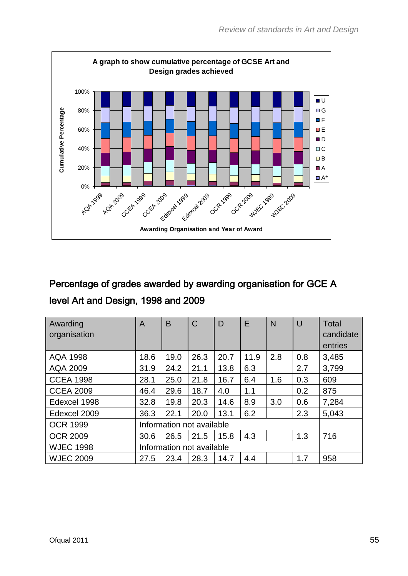

# Percentage of grades awarded by awarding organisation for GCE A level Art and Design, 1998 and 2009

| Awarding<br>organisation | $\overline{A}$ | B                         | $\mathsf C$ | D    | E    | $\mathsf{N}$ | $\cup$ | <b>Total</b><br>candidate<br>entries |  |
|--------------------------|----------------|---------------------------|-------------|------|------|--------------|--------|--------------------------------------|--|
| <b>AQA 1998</b>          | 18.6           | 19.0                      | 26.3        | 20.7 | 11.9 | 2.8          | 0.8    | 3,485                                |  |
| <b>AQA 2009</b>          | 31.9           | 24.2                      | 21.1        | 13.8 | 6.3  |              | 2.7    | 3,799                                |  |
| <b>CCEA 1998</b>         | 28.1           | 25.0                      | 21.8        | 16.7 | 6.4  | 1.6          | 0.3    | 609                                  |  |
| <b>CCEA 2009</b>         | 46.4           | 29.6                      | 18.7        | 4.0  | 1.1  |              | 0.2    | 875                                  |  |
| Edexcel 1998             | 32.8           | 19.8                      | 20.3        | 14.6 | 8.9  | 3.0          | 0.6    | 7,284                                |  |
| Edexcel 2009             | 36.3           | 22.1                      | 20.0        | 13.1 | 6.2  |              | 2.3    | 5,043                                |  |
| <b>OCR 1999</b>          |                | Information not available |             |      |      |              |        |                                      |  |
| <b>OCR 2009</b>          | 30.6           | 26.5                      | 21.5        | 15.8 | 4.3  |              | 1.3    | 716                                  |  |
| <b>WJEC 1998</b>         |                | Information not available |             |      |      |              |        |                                      |  |
| <b>WJEC 2009</b>         | 27.5           | 23.4                      | 28.3        | 14.7 | 4.4  |              | 1.7    | 958                                  |  |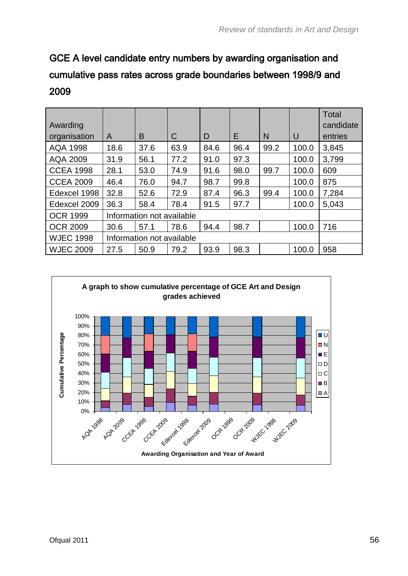# GCE A level candidate entry numbers by awarding organisation and cumulative pass rates across grade boundaries between 1998/9 and 2009

| Awarding         |                           |                           |      |      |      |      |       | <b>Total</b><br>candidate |
|------------------|---------------------------|---------------------------|------|------|------|------|-------|---------------------------|
| organisation     | A                         | B                         | C    | D    | E    | N    | U     | entries                   |
| <b>AQA 1998</b>  | 18.6                      | 37.6                      | 63.9 | 84.6 | 96.4 | 99.2 | 100.0 | 3,845                     |
| AQA 2009         | 31.9                      | 56.1                      | 77.2 | 91.0 | 97.3 |      | 100.0 | 3,799                     |
| <b>CCEA 1998</b> | 28.1                      | 53.0                      | 74.9 | 91.6 | 98.0 | 99.7 | 100.0 | 609                       |
| <b>CCEA 2009</b> | 46.4                      | 76.0                      | 94.7 | 98.7 | 99.8 |      | 100.0 | 875                       |
| Edexcel 1998     | 32.8                      | 52.6                      | 72.9 | 87.4 | 96.3 | 99.4 | 100.0 | 7,284                     |
| Edexcel 2009     | 36.3                      | 58.4                      | 78.4 | 91.5 | 97.7 |      | 100.0 | 5,043                     |
| <b>OCR 1999</b>  |                           | Information not available |      |      |      |      |       |                           |
| <b>OCR 2009</b>  | 30.6                      | 57.1                      | 78.6 | 94.4 | 98.7 |      | 100.0 | 716                       |
| <b>WJEC 1998</b> | Information not available |                           |      |      |      |      |       |                           |
| <b>WJEC 2009</b> | 27.5                      | 50.9                      | 79.2 | 93.9 | 98.3 |      | 100.0 | 958                       |

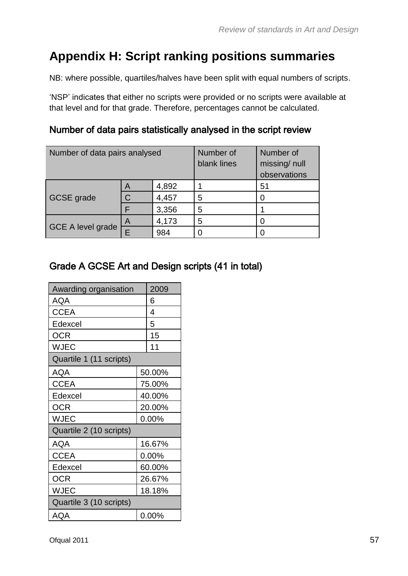# **Appendix H: Script ranking positions summaries**

NB: where possible, quartiles/halves have been split with equal numbers of scripts.

'NSP' indicates that either no scripts were provided or no scripts were available at that level and for that grade. Therefore, percentages cannot be calculated.

#### Number of data pairs statistically analysed in the script review

| Number of data pairs analysed |                | Number of<br>blank lines | Number of<br>missing/null<br>observations |    |
|-------------------------------|----------------|--------------------------|-------------------------------------------|----|
|                               | A              | 4,892                    |                                           | 51 |
| <b>GCSE</b> grade             | $\overline{C}$ | 4,457                    | 5                                         |    |
|                               |                | 3,356                    | 5                                         |    |
|                               | A              | 4,173                    | 5                                         |    |
| <b>GCE A level grade</b>      | F              | 984                      |                                           |    |

#### Grade A GCSE Art and Design scripts (41 in total)

| Awarding organisation   |        | 2009     |  |  |  |  |
|-------------------------|--------|----------|--|--|--|--|
| AQA                     |        | 6        |  |  |  |  |
| CCEA                    |        | 4        |  |  |  |  |
| Edexcel                 | 5      |          |  |  |  |  |
| <b>OCR</b>              |        | 15       |  |  |  |  |
| <b>WJEC</b>             |        | 11       |  |  |  |  |
| Quartile 1 (11 scripts) |        |          |  |  |  |  |
| AQA                     |        | 50.00%   |  |  |  |  |
| <b>CCEA</b>             |        | 75.00%   |  |  |  |  |
| Edexcel                 | 40.00% |          |  |  |  |  |
| OCR                     |        | 20.00%   |  |  |  |  |
| <b>WJEC</b>             |        | 0.00%    |  |  |  |  |
| Quartile 2 (10 scripts) |        |          |  |  |  |  |
| AQA                     |        | 16.67%   |  |  |  |  |
| <b>CCEA</b>             |        | $0.00\%$ |  |  |  |  |
| Edexcel                 |        | 60.00%   |  |  |  |  |
| OCR                     | 26.67% |          |  |  |  |  |
| <b>WJEC</b>             | 18.18% |          |  |  |  |  |
| Quartile 3 (10 scripts) |        |          |  |  |  |  |
| AQA                     |        | 0.00%    |  |  |  |  |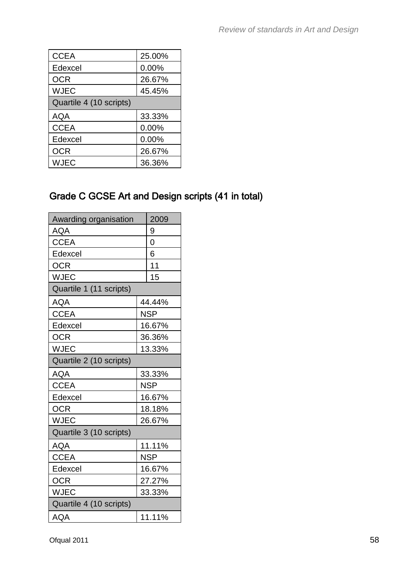| <b>CCEA</b>             | 25.00% |
|-------------------------|--------|
| Edexcel                 | 0.00%  |
| <b>OCR</b>              | 26.67% |
| <b>WJEC</b>             | 45.45% |
| Quartile 4 (10 scripts) |        |
| <b>AQA</b>              | 33.33% |
| <b>CCEA</b>             | 0.00%  |
| Edexcel                 | 0.00%  |
| <b>OCR</b>              | 26.67% |
| WJEC                    | 36.36% |

## Grade C GCSE Art and Design scripts (41 in total)

| Awarding organisation   |   | 2009       |
|-------------------------|---|------------|
| <b>AQA</b>              | 9 |            |
| <b>CCEA</b>             |   | 0          |
| Edexcel                 |   | 6          |
| <b>OCR</b>              |   | 11         |
| <b>WJEC</b>             |   | 15         |
| Quartile 1 (11 scripts) |   |            |
| <b>AQA</b>              |   | 44.44%     |
| <b>CCEA</b>             |   | <b>NSP</b> |
| Edexcel                 |   | 16.67%     |
| <b>OCR</b>              |   | 36.36%     |
| <b>WJEC</b>             |   | 13.33%     |
| Quartile 2 (10 scripts) |   |            |
| <b>AQA</b>              |   | 33.33%     |
| <b>CCEA</b>             |   | <b>NSP</b> |
| Edexcel                 |   | 16.67%     |
| <b>OCR</b>              |   | 18.18%     |
| <b>WJEC</b>             |   | 26.67%     |
| Quartile 3 (10 scripts) |   |            |
| <b>AQA</b>              |   | 11.11%     |
| <b>CCEA</b>             |   | <b>NSP</b> |
| Edexcel                 |   | 16.67%     |
| <b>OCR</b>              |   | 27.27%     |
| <b>WJEC</b>             |   | 33.33%     |
| Quartile 4 (10 scripts) |   |            |
| AQA                     |   | 11.11%     |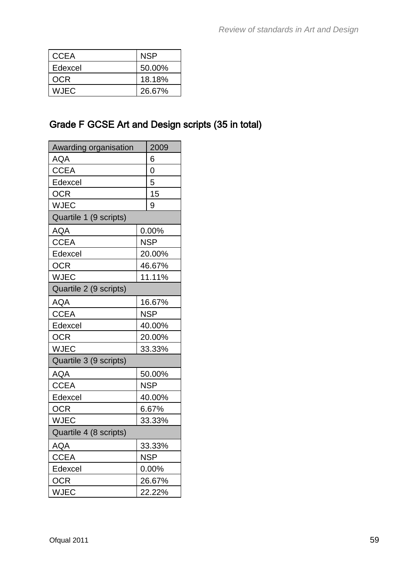| <b>CCEA</b> | NSP    |
|-------------|--------|
| Edexcel     | 50.00% |
| OCR         | 18.18% |
| <b>WJEC</b> | 26.67% |

### Grade F GCSE Art and Design scripts (35 in total)

| Awarding organisation  |   | 2009       |
|------------------------|---|------------|
| <b>AQA</b>             | 6 |            |
| <b>CCEA</b>            |   | 0          |
| Edexcel                |   | 5          |
| <b>OCR</b>             |   | 15         |
| <b>WJEC</b>            |   | 9          |
| Quartile 1 (9 scripts) |   |            |
| <b>AQA</b>             |   | 0.00%      |
| <b>CCEA</b>            |   | <b>NSP</b> |
| Edexcel                |   | 20.00%     |
| <b>OCR</b>             |   | 46.67%     |
| <b>WJEC</b>            |   | 11.11%     |
| Quartile 2 (9 scripts) |   |            |
| AQA                    |   | 16.67%     |
| <b>CCEA</b>            |   | <b>NSP</b> |
| Edexcel                |   | 40.00%     |
| <b>OCR</b>             |   | 20.00%     |
| <b>WJEC</b>            |   | 33.33%     |
| Quartile 3 (9 scripts) |   |            |
| AQA                    |   | 50.00%     |
| <b>CCEA</b>            |   | <b>NSP</b> |
| Edexcel                |   | 40.00%     |
| <b>OCR</b>             |   | 6.67%      |
| <b>WJEC</b>            |   | 33.33%     |
| Quartile 4 (8 scripts) |   |            |
| <b>AQA</b>             |   | 33.33%     |
| <b>CCEA</b>            |   | <b>NSP</b> |
| Edexcel                |   | 0.00%      |
| <b>OCR</b>             |   | 26.67%     |
| <b>WJEC</b>            |   | 22.22%     |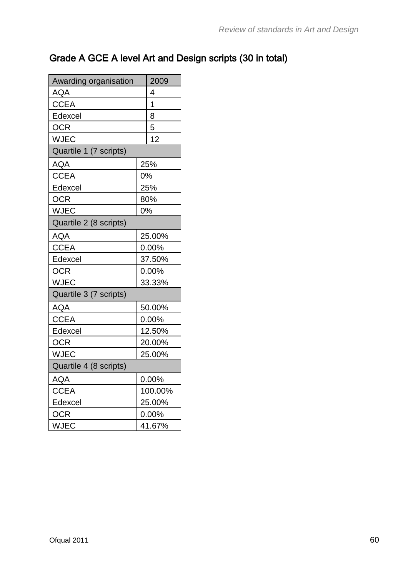## Grade A GCE A level Art and Design scripts (30 in total)

| Awarding organisation  | 2009           |         |
|------------------------|----------------|---------|
| <b>AQA</b>             | 4              |         |
| <b>CCEA</b>            | $\overline{1}$ |         |
| Edexcel                |                | 8       |
| <b>OCR</b>             |                | 5       |
| <b>WJEC</b>            |                | 12      |
| Quartile 1 (7 scripts) |                |         |
| <b>AQA</b>             |                | 25%     |
| <b>CCEA</b>            |                | 0%      |
| Edexcel                |                | 25%     |
| <b>OCR</b>             |                | 80%     |
| <b>WJEC</b>            |                | 0%      |
| Quartile 2 (8 scripts) |                |         |
| AQA                    |                | 25.00%  |
| <b>CCEA</b>            |                | 0.00%   |
| Edexcel                |                | 37.50%  |
| <b>OCR</b>             |                | 0.00%   |
| <b>WJEC</b>            |                | 33.33%  |
| Quartile 3 (7 scripts) |                |         |
| <b>AQA</b>             |                | 50.00%  |
| <b>CCEA</b>            |                | 0.00%   |
| Edexcel                |                | 12.50%  |
| <b>OCR</b>             |                | 20.00%  |
| <b>WJEC</b>            |                | 25.00%  |
| Quartile 4 (8 scripts) |                |         |
| <b>AQA</b>             |                | 0.00%   |
| <b>CCEA</b>            |                | 100.00% |
| Edexcel                |                | 25.00%  |
| <b>OCR</b>             |                | 0.00%   |
| <b>WJEC</b>            |                | 41.67%  |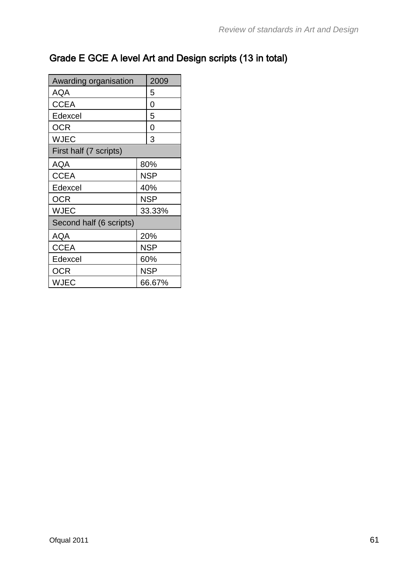## Grade E GCE A level Art and Design scripts (13 in total)

| Awarding organisation   | 2009 |            |
|-------------------------|------|------------|
| AQA                     |      | 5          |
| <b>CCEA</b>             |      | 0          |
| Edexcel                 |      | 5          |
| OCR                     |      | 0          |
| <b>WJEC</b>             |      | 3          |
| First half (7 scripts)  |      |            |
| AQA                     |      | 80%        |
| <b>CCEA</b>             |      | <b>NSP</b> |
| Edexcel                 |      | 40%        |
| OCR                     |      | NSP        |
| <b>WJEC</b>             |      | 33.33%     |
| Second half (6 scripts) |      |            |
| AQA                     |      | 20%        |
| <b>CCEA</b>             |      | <b>NSP</b> |
| Edexcel                 |      | 60%        |
| <b>OCR</b>              |      | <b>NSP</b> |
| WJEC                    |      | 66.67%     |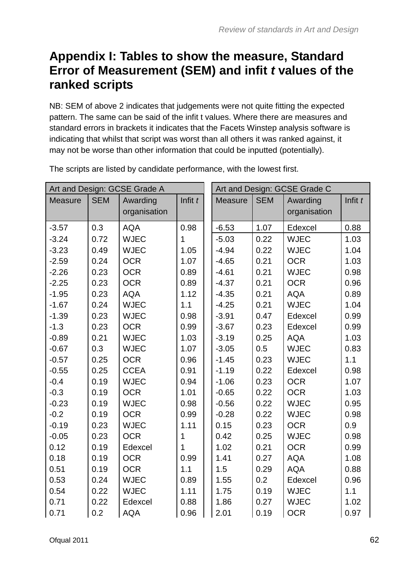# **Appendix I: Tables to show the measure, Standard Error of Measurement (SEM) and infit** *t* **values of the ranked scripts**

NB: SEM of above 2 indicates that judgements were not quite fitting the expected pattern. The same can be said of the infit t values. Where there are measures and standard errors in brackets it indicates that the Facets Winstep analysis software is indicating that whilst that script was worst than all others it was ranked against, it may not be worse than other information that could be inputted (potentially).

| Art and Design: GCSE Grade A |            |              |           | Art and Design: GCSE Grade C |                |            |              |           |
|------------------------------|------------|--------------|-----------|------------------------------|----------------|------------|--------------|-----------|
| <b>Measure</b>               | <b>SEM</b> | Awarding     | Infit $t$ |                              | <b>Measure</b> | <b>SEM</b> | Awarding     | Infit $t$ |
|                              |            | organisation |           |                              |                |            | organisation |           |
| $-3.57$                      | 0.3        | <b>AQA</b>   | 0.98      |                              | $-6.53$        | 1.07       | Edexcel      | 0.88      |
| $-3.24$                      | 0.72       | <b>WJEC</b>  | 1         |                              | $-5.03$        | 0.22       | <b>WJEC</b>  | 1.03      |
| $-3.23$                      | 0.49       | <b>WJEC</b>  | 1.05      | 1.07                         | $-4.94$        | 0.22       | <b>WJEC</b>  | 1.04      |
| $-2.59$                      | 0.24       | <b>OCR</b>   |           |                              | $-4.65$        | 0.21       | <b>OCR</b>   | 1.03      |
| $-2.26$                      | 0.23       | <b>OCR</b>   | 0.89      |                              | $-4.61$        | 0.21       | <b>WJEC</b>  | 0.98      |
| $-2.25$                      | 0.23       | <b>OCR</b>   | 0.89      |                              | $-4.37$        | 0.21       | <b>OCR</b>   | 0.96      |
| $-1.95$                      | 0.23       | <b>AQA</b>   | 1.12      |                              | $-4.35$        | 0.21       | <b>AQA</b>   | 0.89      |
| $-1.67$                      | 0.24       | <b>WJEC</b>  | 1.1       | 0.98                         | $-4.25$        | 0.21       | <b>WJEC</b>  | 1.04      |
| $-1.39$                      | 0.23       | <b>WJEC</b>  |           |                              | $-3.91$        | 0.47       | Edexcel      | 0.99      |
| $-1.3$                       | 0.23       | <b>OCR</b>   | 0.99      |                              | $-3.67$        | 0.23       | Edexcel      | 0.99      |
| $-0.89$                      | 0.21       | <b>WJEC</b>  | 1.03      | $-3.19$                      | 0.25           | <b>AQA</b> | 1.03         |           |
| $-0.67$                      | 0.3        | <b>WJEC</b>  | 1.07      |                              | $-3.05$        | 0.5        | <b>WJEC</b>  | 0.83      |
| $-0.57$                      | 0.25       | <b>OCR</b>   | 0.96      |                              | $-1.45$        | 0.23       | <b>WJEC</b>  | 1.1       |
| $-0.55$                      | 0.25       | <b>CCEA</b>  | 0.91      |                              | $-1.19$        | 0.22       | Edexcel      | 0.98      |
| $-0.4$                       | 0.19       | <b>WJEC</b>  | 0.94      |                              | $-1.06$        | 0.23       | <b>OCR</b>   | 1.07      |
| $-0.3$                       | 0.19       | <b>OCR</b>   | 1.01      |                              | $-0.65$        | 0.22       | <b>OCR</b>   | 1.03      |
| $-0.23$                      | 0.19       | <b>WJEC</b>  | 0.98      |                              | $-0.56$        | 0.22       | <b>WJEC</b>  | 0.95      |
| $-0.2$                       | 0.19       | <b>OCR</b>   | 0.99      |                              | $-0.28$        | 0.22       | <b>WJEC</b>  | 0.98      |
| $-0.19$                      | 0.23       | <b>WJEC</b>  | 1.11      |                              | 0.15           | 0.23       | <b>OCR</b>   | 0.9       |
| $-0.05$                      | 0.23       | <b>OCR</b>   | 1         |                              | 0.42           | 0.25       | <b>WJEC</b>  | 0.98      |
| 0.12                         | 0.19       | Edexcel      | 1         |                              | 1.02           | 0.21       | <b>OCR</b>   | 0.99      |
| 0.18                         | 0.19       | <b>OCR</b>   | 0.99      |                              | 1.41           | 0.27       | <b>AQA</b>   | 1.08      |
| 0.51                         | 0.19       | <b>OCR</b>   | 1.1       |                              | 1.5            | 0.29       | <b>AQA</b>   | 0.88      |
| 0.53                         | 0.24       | <b>WJEC</b>  | 0.89      |                              | 1.55           | 0.2        | Edexcel      | 0.96      |
| 0.54                         | 0.22       | <b>WJEC</b>  | 1.11      |                              | 1.75           | 0.19       | <b>WJEC</b>  | 1.1       |
| 0.71                         | 0.22       | Edexcel      | 0.88      |                              | 1.86           | 0.27       | <b>WJEC</b>  | 1.02      |
| 0.71                         | 0.2        | <b>AQA</b>   | 0.96      |                              | 2.01           | 0.19       | <b>OCR</b>   | 0.97      |

The scripts are listed by candidate performance, with the lowest first.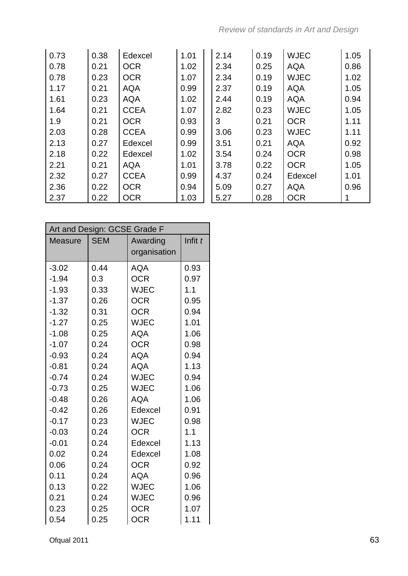| 0.73 | 0.38 | Edexcel     | 1.01 | 2.14 | 0.19 | <b>WJEC</b> | 1.05 |
|------|------|-------------|------|------|------|-------------|------|
| 0.78 | 0.21 | <b>OCR</b>  | 1.02 | 2.34 | 0.25 | <b>AQA</b>  | 0.86 |
| 0.78 | 0.23 | <b>OCR</b>  | 1.07 | 2.34 | 0.19 | <b>WJEC</b> | 1.02 |
| 1.17 | 0.21 | <b>AQA</b>  | 0.99 | 2.37 | 0.19 | <b>AQA</b>  | 1.05 |
| 1.61 | 0.23 | <b>AQA</b>  | 1.02 | 2.44 | 0.19 | <b>AQA</b>  | 0.94 |
| 1.64 | 0.21 | <b>CCEA</b> | 1.07 | 2.82 | 0.23 | <b>WJEC</b> | 1.05 |
| 1.9  | 0.21 | <b>OCR</b>  | 0.93 | 3    | 0.21 | <b>OCR</b>  | 1.11 |
| 2.03 | 0.28 | <b>CCEA</b> | 0.99 | 3.06 | 0.23 | <b>WJEC</b> | 1.11 |
| 2.13 | 0.27 | Edexcel     | 0.99 | 3.51 | 0.21 | <b>AQA</b>  | 0.92 |
| 2.18 | 0.22 | Edexcel     | 1.02 | 3.54 | 0.24 | <b>OCR</b>  | 0.98 |
| 2.21 | 0.21 | <b>AQA</b>  | 1.01 | 3.78 | 0.22 | <b>OCR</b>  | 1.05 |
| 2.32 | 0.27 | <b>CCEA</b> | 0.99 | 4.37 | 0.24 | Edexcel     | 1.01 |
| 2.36 | 0.22 | <b>OCR</b>  | 0.94 | 5.09 | 0.27 | <b>AQA</b>  | 0.96 |
| 2.37 | 0.22 | <b>OCR</b>  | 1.03 | 5.27 | 0.28 | <b>OCR</b>  |      |

| Art and Design: GCSE Grade F |                        |              |      |  |  |  |  |
|------------------------------|------------------------|--------------|------|--|--|--|--|
| Measure                      | <b>SEM</b><br>Awarding |              |      |  |  |  |  |
|                              |                        | organisation |      |  |  |  |  |
| $-3.02$                      | 0.44                   | <b>AQA</b>   | 0.93 |  |  |  |  |
| $-1.94$                      | 0.3                    | <b>OCR</b>   | 0.97 |  |  |  |  |
| $-1.93$                      | 0.33                   | <b>WJEC</b>  | 1.1  |  |  |  |  |
| $-1.37$                      | 0.26                   | <b>OCR</b>   | 0.95 |  |  |  |  |
| $-1.32$                      | 0.31                   | <b>OCR</b>   | 0.94 |  |  |  |  |
| $-1.27$                      | 0.25                   | <b>WJEC</b>  | 1.01 |  |  |  |  |
| $-1.08$                      | 0.25                   | <b>AQA</b>   | 1.06 |  |  |  |  |
| $-1.07$                      | 0.24                   | <b>OCR</b>   | 0.98 |  |  |  |  |
| $-0.93$                      | 0.24                   | <b>AQA</b>   | 0.94 |  |  |  |  |
| $-0.81$                      | 0.24                   | <b>AQA</b>   | 1.13 |  |  |  |  |
| $-0.74$                      | 0.24                   | <b>WJEC</b>  | 0.94 |  |  |  |  |
| $-0.73$                      | 0.25                   | <b>WJEC</b>  | 1.06 |  |  |  |  |
| $-0.48$                      | 0.26                   | <b>AQA</b>   | 1.06 |  |  |  |  |
| $-0.42$                      | 0.26                   | Edexcel      | 0.91 |  |  |  |  |
| $-0.17$                      | 0.23                   | <b>WJEC</b>  | 0.98 |  |  |  |  |
| $-0.03$                      | 0.24                   | <b>OCR</b>   | 1.1  |  |  |  |  |
| $-0.01$                      | 0.24                   | Edexcel      | 1.13 |  |  |  |  |
| 0.02                         | 0.24                   | Edexcel      | 1.08 |  |  |  |  |
| 0.06                         | 0.24                   | <b>OCR</b>   | 0.92 |  |  |  |  |
| 0.11                         | 0.24                   | <b>AQA</b>   | 0.96 |  |  |  |  |
| 0.13                         | 0.22                   | <b>WJEC</b>  | 1.06 |  |  |  |  |
| 0.21                         | 0.24                   | <b>WJEC</b>  | 0.96 |  |  |  |  |
| 0.23                         | 0.25                   | <b>OCR</b>   | 1.07 |  |  |  |  |
| 0.54                         | 0.25                   | <b>OCR</b>   | 1.11 |  |  |  |  |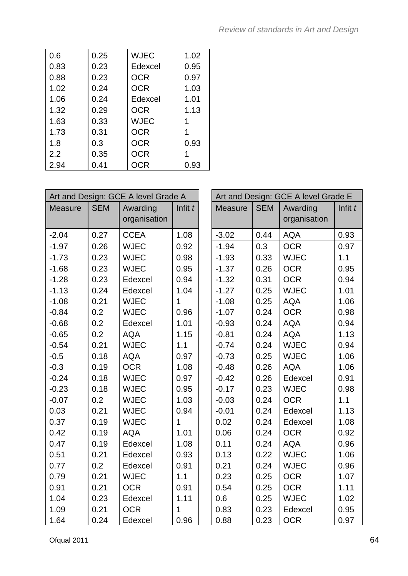| 0.6  | 0.25 | <b>WJEC</b> | 1.02 |
|------|------|-------------|------|
| 0.83 | 0.23 | Edexcel     | 0.95 |
| 0.88 | 0.23 | <b>OCR</b>  | 0.97 |
| 1.02 | 0.24 | <b>OCR</b>  | 1.03 |
| 1.06 | 0.24 | Edexcel     | 1.01 |
| 1.32 | 0.29 | <b>OCR</b>  | 1.13 |
| 1.63 | 0.33 | <b>WJEC</b> |      |
| 1.73 | 0.31 | <b>OCR</b>  |      |
| 1.8  | 0.3  | <b>OCR</b>  | 0.93 |
| 2.2  | 0.35 | <b>OCR</b>  |      |
| 2.94 | 0.41 | <b>OCR</b>  | 0.93 |

| Art and Design: GCE A level Grade A |            |                          |           |                |            | Art and Design: GCE A level Grade E |           |
|-------------------------------------|------------|--------------------------|-----------|----------------|------------|-------------------------------------|-----------|
| <b>Measure</b>                      | <b>SEM</b> | Awarding<br>organisation | Infit $t$ | <b>Measure</b> | <b>SEM</b> | Awarding<br>organisation            | Infit $t$ |
| $-2.04$                             | 0.27       | <b>CCEA</b>              | 1.08      | $-3.02$        | 0.44       | <b>AQA</b>                          | 0.93      |
| $-1.97$                             | 0.26       | <b>WJEC</b>              | 0.92      | $-1.94$        | 0.3        | <b>OCR</b>                          | 0.97      |
| $-1.73$                             | 0.23       | <b>WJEC</b>              | 0.98      | $-1.93$        | 0.33       | <b>WJEC</b>                         | 1.1       |
| $-1.68$                             | 0.23       | <b>WJEC</b>              | 0.95      | $-1.37$        | 0.26       | <b>OCR</b>                          | 0.95      |
| $-1.28$                             | 0.23       | Edexcel                  | 0.94      | $-1.32$        | 0.31       | <b>OCR</b>                          | 0.94      |
| $-1.13$                             | 0.24       | Edexcel                  | 1.04      | $-1.27$        | 0.25       | <b>WJEC</b>                         | 1.01      |
| $-1.08$                             | 0.21       | <b>WJEC</b>              | 1         | $-1.08$        | 0.25       | <b>AQA</b>                          | 1.06      |
| $-0.84$                             | 0.2        | <b>WJEC</b>              | 0.96      | $-1.07$        | 0.24       | <b>OCR</b>                          | 0.98      |
| $-0.68$                             | 0.2        | Edexcel                  | 1.01      | $-0.93$        | 0.24       | <b>AQA</b>                          | 0.94      |
| $-0.65$                             | 0.2        | <b>AQA</b>               | 1.15      | $-0.81$        | 0.24       | <b>AQA</b>                          | 1.13      |
| $-0.54$                             | 0.21       | <b>WJEC</b>              | 1.1       | $-0.74$        | 0.24       | <b>WJEC</b>                         | 0.94      |
| $-0.5$                              | 0.18       | <b>AQA</b>               | 0.97      | $-0.73$        | 0.25       | <b>WJEC</b>                         | 1.06      |
| $-0.3$                              | 0.19       | <b>OCR</b>               | 1.08      | $-0.48$        | 0.26       | <b>AQA</b>                          | 1.06      |
| $-0.24$                             | 0.18       | <b>WJEC</b>              | 0.97      | $-0.42$        | 0.26       | Edexcel                             | 0.91      |
| $-0.23$                             | 0.18       | <b>WJEC</b>              | 0.95      | $-0.17$        | 0.23       | <b>WJEC</b>                         | 0.98      |
| $-0.07$                             | 0.2        | <b>WJEC</b>              | 1.03      | $-0.03$        | 0.24       | <b>OCR</b>                          | 1.1       |
| 0.03                                | 0.21       | <b>WJEC</b>              | 0.94      | $-0.01$        | 0.24       | Edexcel                             | 1.13      |
| 0.37                                | 0.19       | <b>WJEC</b>              | 1         | 0.02           | 0.24       | Edexcel                             | 1.08      |
| 0.42                                | 0.19       | <b>AQA</b>               | 1.01      | 0.06           | 0.24       | <b>OCR</b>                          | 0.92      |
| 0.47                                | 0.19       | Edexcel                  | 1.08      | 0.11           | 0.24       | <b>AQA</b>                          | 0.96      |
| 0.51                                | 0.21       | Edexcel                  | 0.93      | 0.13           | 0.22       | <b>WJEC</b>                         | 1.06      |
| 0.77                                | 0.2        | Edexcel                  | 0.91      | 0.21           | 0.24       | <b>WJEC</b>                         | 0.96      |
| 0.79                                | 0.21       | <b>WJEC</b>              | 1.1       | 0.23           | 0.25       | <b>OCR</b>                          | 1.07      |
| 0.91                                | 0.21       | <b>OCR</b>               | 0.91      | 0.54           | 0.25       | <b>OCR</b>                          | 1.11      |
| 1.04                                | 0.23       | Edexcel                  | 1.11      | 0.6            | 0.25       | <b>WJEC</b>                         | 1.02      |
| 1.09                                | 0.21       | <b>OCR</b>               | 1         | 0.83           | 0.23       | Edexcel                             | 0.95      |
| 1.64                                | 0.24       | Edexcel                  | 0.96      | 0.88           | 0.23       | <b>OCR</b>                          | 0.97      |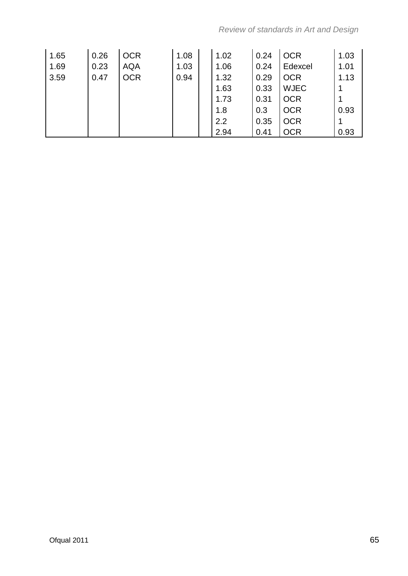| 1.65 | 0.26 | <b>OCR</b> | 1.08 | 1.02 | 0.24 | <b>OCR</b>  | 1.03 |
|------|------|------------|------|------|------|-------------|------|
| 1.69 | 0.23 | <b>AQA</b> | 1.03 | 1.06 | 0.24 | Edexcel     | 1.01 |
| 3.59 | 0.47 | <b>OCR</b> | 0.94 | 1.32 | 0.29 | <b>OCR</b>  | 1.13 |
|      |      |            |      | 1.63 | 0.33 | <b>WJEC</b> |      |
|      |      |            |      | 1.73 | 0.31 | <b>OCR</b>  |      |
|      |      |            |      | 1.8  | 0.3  | <b>OCR</b>  | 0.93 |
|      |      |            |      | 2.2  | 0.35 | <b>OCR</b>  |      |
|      |      |            |      | 2.94 | 0.41 | <b>OCR</b>  | 0.93 |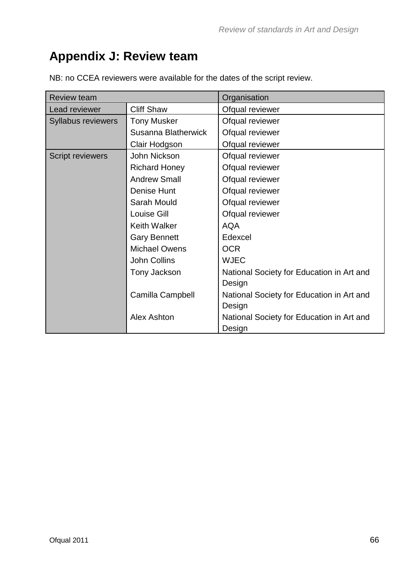# **Appendix J: Review team**

| <b>Review team</b>      |                      | Organisation                              |
|-------------------------|----------------------|-------------------------------------------|
| Lead reviewer           | <b>Cliff Shaw</b>    | Ofqual reviewer                           |
| Syllabus reviewers      | <b>Tony Musker</b>   | Ofqual reviewer                           |
|                         | Susanna Blatherwick  | Ofqual reviewer                           |
|                         | Clair Hodgson        | Ofqual reviewer                           |
| <b>Script reviewers</b> | John Nickson         | Ofqual reviewer                           |
|                         | <b>Richard Honey</b> | Ofqual reviewer                           |
|                         | <b>Andrew Small</b>  | Ofqual reviewer                           |
|                         | Denise Hunt          | Ofqual reviewer                           |
|                         | Sarah Mould          | Ofqual reviewer                           |
|                         | Louise Gill          | Ofqual reviewer                           |
|                         | Keith Walker         | <b>AQA</b>                                |
|                         | <b>Gary Bennett</b>  | Edexcel                                   |
|                         | <b>Michael Owens</b> | <b>OCR</b>                                |
|                         | John Collins         | <b>WJEC</b>                               |
|                         | Tony Jackson         | National Society for Education in Art and |
|                         |                      | Design                                    |
|                         | Camilla Campbell     | National Society for Education in Art and |
|                         |                      | Design                                    |
|                         | <b>Alex Ashton</b>   | National Society for Education in Art and |
|                         |                      | Design                                    |

NB: no CCEA reviewers were available for the dates of the script review.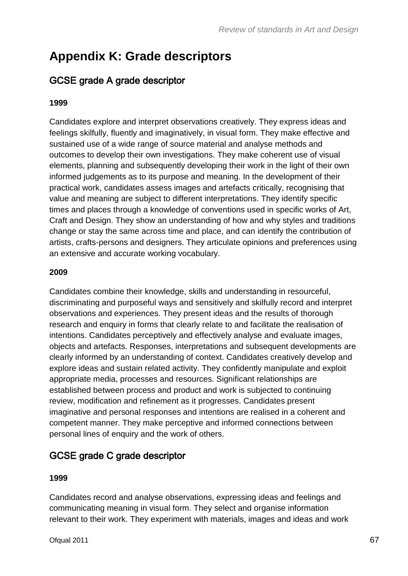# **Appendix K: Grade descriptors**

#### GCSE grade A grade descriptor

#### **1999**

Candidates explore and interpret observations creatively. They express ideas and feelings skilfully, fluently and imaginatively, in visual form. They make effective and sustained use of a wide range of source material and analyse methods and outcomes to develop their own investigations. They make coherent use of visual elements, planning and subsequently developing their work in the light of their own informed judgements as to its purpose and meaning. In the development of their practical work, candidates assess images and artefacts critically, recognising that value and meaning are subject to different interpretations. They identify specific times and places through a knowledge of conventions used in specific works of Art, Craft and Design. They show an understanding of how and why styles and traditions change or stay the same across time and place, and can identify the contribution of artists, crafts-persons and designers. They articulate opinions and preferences using an extensive and accurate working vocabulary.

#### **2009**

Candidates combine their knowledge, skills and understanding in resourceful, discriminating and purposeful ways and sensitively and skilfully record and interpret observations and experiences. They present ideas and the results of thorough research and enquiry in forms that clearly relate to and facilitate the realisation of intentions. Candidates perceptively and effectively analyse and evaluate images, objects and artefacts. Responses, interpretations and subsequent developments are clearly informed by an understanding of context. Candidates creatively develop and explore ideas and sustain related activity. They confidently manipulate and exploit appropriate media, processes and resources. Significant relationships are established between process and product and work is subjected to continuing review, modification and refinement as it progresses. Candidates present imaginative and personal responses and intentions are realised in a coherent and competent manner. They make perceptive and informed connections between personal lines of enquiry and the work of others.

#### GCSE grade C grade descriptor

#### **1999**

Candidates record and analyse observations, expressing ideas and feelings and communicating meaning in visual form. They select and organise information relevant to their work. They experiment with materials, images and ideas and work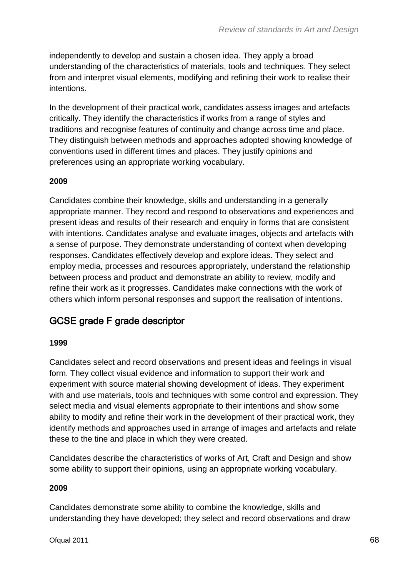independently to develop and sustain a chosen idea. They apply a broad understanding of the characteristics of materials, tools and techniques. They select from and interpret visual elements, modifying and refining their work to realise their intentions.

In the development of their practical work, candidates assess images and artefacts critically. They identify the characteristics if works from a range of styles and traditions and recognise features of continuity and change across time and place. They distinguish between methods and approaches adopted showing knowledge of conventions used in different times and places. They justify opinions and preferences using an appropriate working vocabulary.

#### **2009**

Candidates combine their knowledge, skills and understanding in a generally appropriate manner. They record and respond to observations and experiences and present ideas and results of their research and enquiry in forms that are consistent with intentions. Candidates analyse and evaluate images, objects and artefacts with a sense of purpose. They demonstrate understanding of context when developing responses. Candidates effectively develop and explore ideas. They select and employ media, processes and resources appropriately, understand the relationship between process and product and demonstrate an ability to review, modify and refine their work as it progresses. Candidates make connections with the work of others which inform personal responses and support the realisation of intentions.

## GCSE grade F grade descriptor

#### **1999**

Candidates select and record observations and present ideas and feelings in visual form. They collect visual evidence and information to support their work and experiment with source material showing development of ideas. They experiment with and use materials, tools and techniques with some control and expression. They select media and visual elements appropriate to their intentions and show some ability to modify and refine their work in the development of their practical work, they identify methods and approaches used in arrange of images and artefacts and relate these to the tine and place in which they were created.

Candidates describe the characteristics of works of Art, Craft and Design and show some ability to support their opinions, using an appropriate working vocabulary.

#### **2009**

Candidates demonstrate some ability to combine the knowledge, skills and understanding they have developed; they select and record observations and draw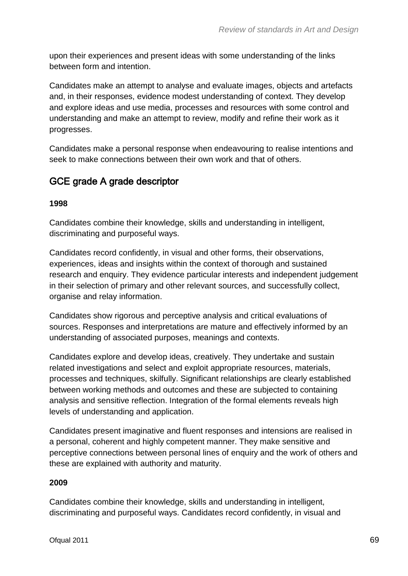upon their experiences and present ideas with some understanding of the links between form and intention.

Candidates make an attempt to analyse and evaluate images, objects and artefacts and, in their responses, evidence modest understanding of context. They develop and explore ideas and use media, processes and resources with some control and understanding and make an attempt to review, modify and refine their work as it progresses.

Candidates make a personal response when endeavouring to realise intentions and seek to make connections between their own work and that of others.

#### GCE grade A grade descriptor

#### **1998**

Candidates combine their knowledge, skills and understanding in intelligent, discriminating and purposeful ways.

Candidates record confidently, in visual and other forms, their observations, experiences, ideas and insights within the context of thorough and sustained research and enquiry. They evidence particular interests and independent judgement in their selection of primary and other relevant sources, and successfully collect, organise and relay information.

Candidates show rigorous and perceptive analysis and critical evaluations of sources. Responses and interpretations are mature and effectively informed by an understanding of associated purposes, meanings and contexts.

Candidates explore and develop ideas, creatively. They undertake and sustain related investigations and select and exploit appropriate resources, materials, processes and techniques, skilfully. Significant relationships are clearly established between working methods and outcomes and these are subjected to containing analysis and sensitive reflection. Integration of the formal elements reveals high levels of understanding and application.

Candidates present imaginative and fluent responses and intensions are realised in a personal, coherent and highly competent manner. They make sensitive and perceptive connections between personal lines of enquiry and the work of others and these are explained with authority and maturity.

#### **2009**

Candidates combine their knowledge, skills and understanding in intelligent, discriminating and purposeful ways. Candidates record confidently, in visual and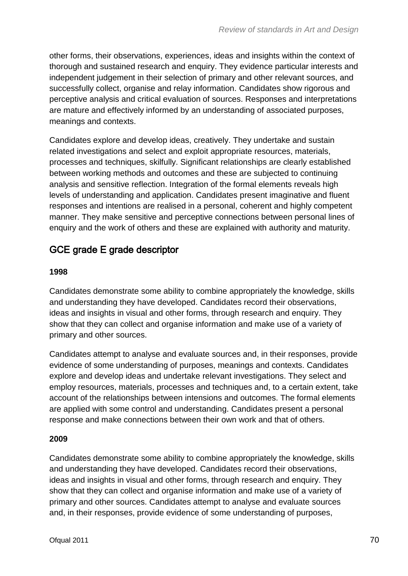other forms, their observations, experiences, ideas and insights within the context of thorough and sustained research and enquiry. They evidence particular interests and independent judgement in their selection of primary and other relevant sources, and successfully collect, organise and relay information. Candidates show rigorous and perceptive analysis and critical evaluation of sources. Responses and interpretations are mature and effectively informed by an understanding of associated purposes, meanings and contexts.

Candidates explore and develop ideas, creatively. They undertake and sustain related investigations and select and exploit appropriate resources, materials, processes and techniques, skilfully. Significant relationships are clearly established between working methods and outcomes and these are subjected to continuing analysis and sensitive reflection. Integration of the formal elements reveals high levels of understanding and application. Candidates present imaginative and fluent responses and intentions are realised in a personal, coherent and highly competent manner. They make sensitive and perceptive connections between personal lines of enquiry and the work of others and these are explained with authority and maturity.

#### GCE grade E grade descriptor

#### **1998**

Candidates demonstrate some ability to combine appropriately the knowledge, skills and understanding they have developed. Candidates record their observations, ideas and insights in visual and other forms, through research and enquiry. They show that they can collect and organise information and make use of a variety of primary and other sources.

Candidates attempt to analyse and evaluate sources and, in their responses, provide evidence of some understanding of purposes, meanings and contexts. Candidates explore and develop ideas and undertake relevant investigations. They select and employ resources, materials, processes and techniques and, to a certain extent, take account of the relationships between intensions and outcomes. The formal elements are applied with some control and understanding. Candidates present a personal response and make connections between their own work and that of others.

#### **2009**

Candidates demonstrate some ability to combine appropriately the knowledge, skills and understanding they have developed. Candidates record their observations, ideas and insights in visual and other forms, through research and enquiry. They show that they can collect and organise information and make use of a variety of primary and other sources. Candidates attempt to analyse and evaluate sources and, in their responses, provide evidence of some understanding of purposes,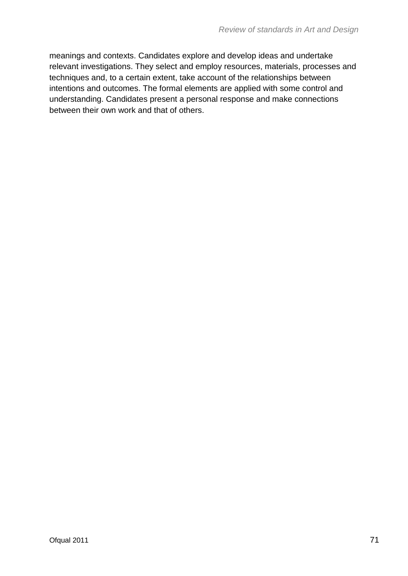meanings and contexts. Candidates explore and develop ideas and undertake relevant investigations. They select and employ resources, materials, processes and techniques and, to a certain extent, take account of the relationships between intentions and outcomes. The formal elements are applied with some control and understanding. Candidates present a personal response and make connections between their own work and that of others.